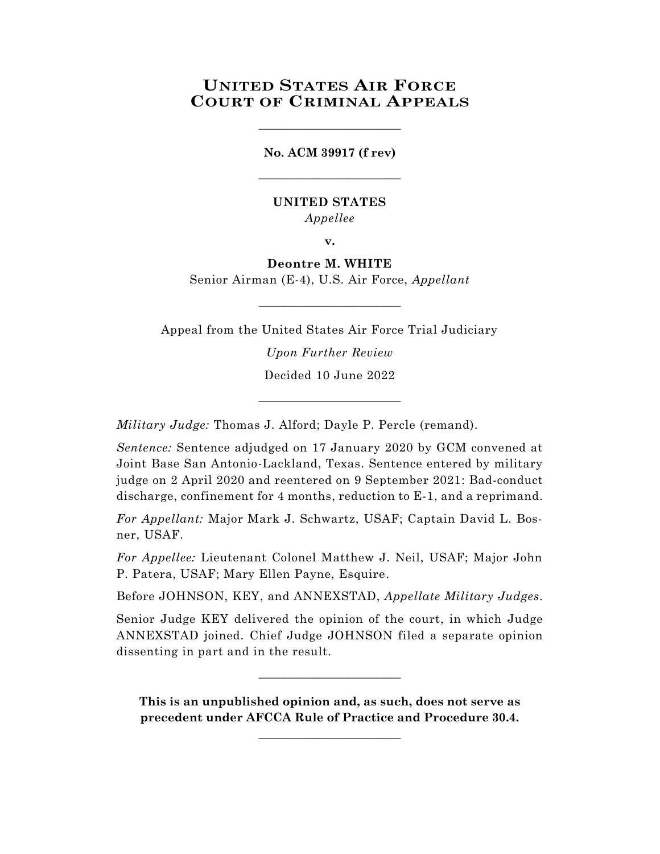# **UNITED STATES AIR FORCE COURT OF CRIMINAL APPEALS**

**No. ACM 39917 (f rev)** \_\_\_\_\_\_\_\_\_\_\_\_\_\_\_\_\_\_\_\_\_\_\_\_

\_\_\_\_\_\_\_\_\_\_\_\_\_\_\_\_\_\_\_\_\_\_\_\_

# **UNITED STATES** *Appellee*

**v.**

# **Deontre M. WHITE**

Senior Airman (E-4), U.S. Air Force, *Appellant*  $\_$ 

Appeal from the United States Air Force Trial Judiciary *Upon Further Review*

Decided 10 June 2022 \_\_\_\_\_\_\_\_\_\_\_\_\_\_\_\_\_\_\_\_\_\_\_\_

*Military Judge:* Thomas J. Alford; Dayle P. Percle (remand).

*Sentence:* Sentence adjudged on 17 January 2020 by GCM convened at Joint Base San Antonio-Lackland, Texas. Sentence entered by military judge on 2 April 2020 and reentered on 9 September 2021: Bad-conduct discharge, confinement for 4 months, reduction to E-1, and a reprimand.

*For Appellant:* Major Mark J. Schwartz, USAF; Captain David L. Bosner, USAF.

*For Appellee:* Lieutenant Colonel Matthew J. Neil, USAF; Major John P. Patera, USAF; Mary Ellen Payne, Esquire.

Before JOHNSON, KEY, and ANNEXSTAD, *Appellate Military Judges*.

Senior Judge KEY delivered the opinion of the court, in which Judge ANNEXSTAD joined. Chief Judge JOHNSON filed a separate opinion dissenting in part and in the result.

**This is an unpublished opinion and, as such, does not serve as precedent under AFCCA Rule of Practice and Procedure 30.4.** 

**\_\_\_\_\_\_\_\_\_\_\_\_\_\_\_\_\_\_\_\_\_\_\_\_**

 $\_$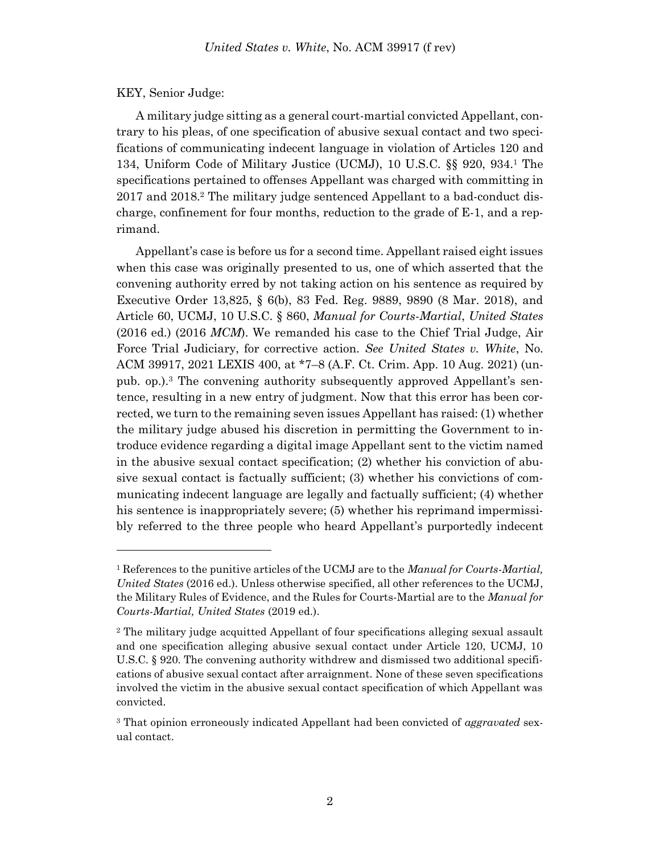#### KEY, Senior Judge:

A military judge sitting as a general court-martial convicted Appellant, contrary to his pleas, of one specification of abusive sexual contact and two specifications of communicating indecent language in violation of Articles 120 and 134, Uniform Code of Military Justice (UCMJ), 10 U.S.C. §§ 920, 934. <sup>1</sup> The specifications pertained to offenses Appellant was charged with committing in 2017 and 2018.<sup>2</sup> The military judge sentenced Appellant to a bad-conduct discharge, confinement for four months, reduction to the grade of E-1, and a reprimand.

Appellant's case is before us for a second time. Appellant raised eight issues when this case was originally presented to us, one of which asserted that the convening authority erred by not taking action on his sentence as required by Executive Order 13,825, § 6(b), 83 Fed. Reg. 9889, 9890 (8 Mar. 2018), and Article 60, UCMJ, 10 U.S.C. § 860, *Manual for Courts-Martial*, *United States*  (2016 ed.) (2016 *MCM*). We remanded his case to the Chief Trial Judge, Air Force Trial Judiciary, for corrective action. *See United States v. White*, No. ACM 39917, 2021 LEXIS 400, at \*7–8 (A.F. Ct. Crim. App. 10 Aug. 2021) (unpub. op.).<sup>3</sup> The convening authority subsequently approved Appellant's sentence, resulting in a new entry of judgment. Now that this error has been corrected, we turn to the remaining seven issues Appellant has raised: (1) whether the military judge abused his discretion in permitting the Government to introduce evidence regarding a digital image Appellant sent to the victim named in the abusive sexual contact specification; (2) whether his conviction of abusive sexual contact is factually sufficient; (3) whether his convictions of communicating indecent language are legally and factually sufficient; (4) whether his sentence is inappropriately severe; (5) whether his reprimand impermissibly referred to the three people who heard Appellant's purportedly indecent

<sup>1</sup> References to the punitive articles of the UCMJ are to the *Manual for Courts-Martial, United States* (2016 ed.). Unless otherwise specified, all other references to the UCMJ, the Military Rules of Evidence, and the Rules for Courts-Martial are to the *Manual for Courts-Martial, United States* (2019 ed.).

<sup>2</sup> The military judge acquitted Appellant of four specifications alleging sexual assault and one specification alleging abusive sexual contact under Article 120, UCMJ, 10 U.S.C. § 920. The convening authority withdrew and dismissed two additional specifications of abusive sexual contact after arraignment. None of these seven specifications involved the victim in the abusive sexual contact specification of which Appellant was convicted.

<sup>3</sup> That opinion erroneously indicated Appellant had been convicted of *aggravated* sexual contact.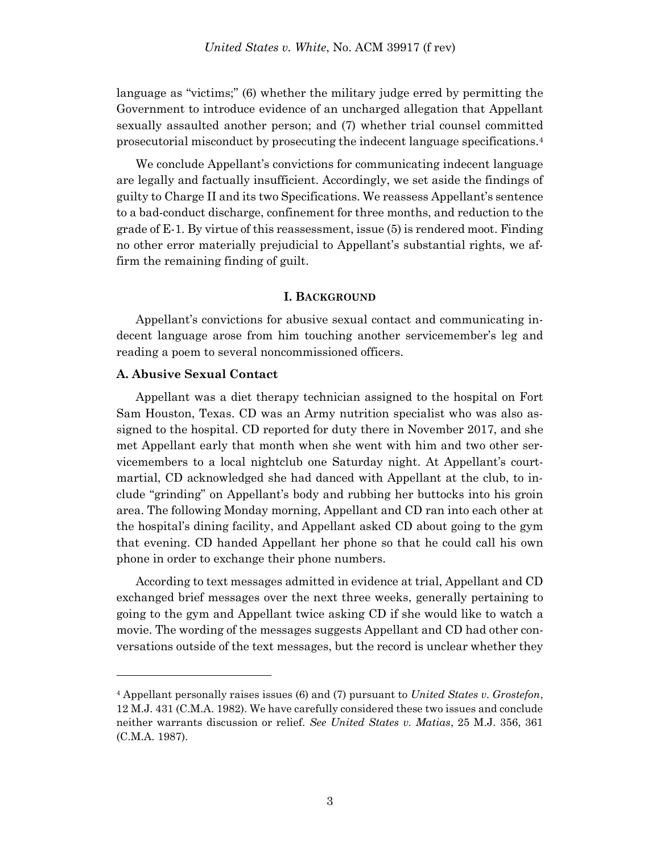language as "victims;" (6) whether the military judge erred by permitting the Government to introduce evidence of an uncharged allegation that Appellant sexually assaulted another person; and (7) whether trial counsel committed prosecutorial misconduct by prosecuting the indecent language specifications.<sup>4</sup>

We conclude Appellant's convictions for communicating indecent language are legally and factually insufficient. Accordingly, we set aside the findings of guilty to Charge II and its two Specifications. We reassess Appellant's sentence to a bad-conduct discharge, confinement for three months, and reduction to the grade of E-1. By virtue of this reassessment, issue (5) is rendered moot. Finding no other error materially prejudicial to Appellant's substantial rights, we affirm the remaining finding of guilt.

#### **I. BACKGROUND**

Appellant's convictions for abusive sexual contact and communicating indecent language arose from him touching another servicemember's leg and reading a poem to several noncommissioned officers.

# **A. Abusive Sexual Contact**

l

Appellant was a diet therapy technician assigned to the hospital on Fort Sam Houston, Texas. CD was an Army nutrition specialist who was also assigned to the hospital. CD reported for duty there in November 2017, and she met Appellant early that month when she went with him and two other servicemembers to a local nightclub one Saturday night. At Appellant's courtmartial, CD acknowledged she had danced with Appellant at the club, to include "grinding" on Appellant's body and rubbing her buttocks into his groin area. The following Monday morning, Appellant and CD ran into each other at the hospital's dining facility, and Appellant asked CD about going to the gym that evening. CD handed Appellant her phone so that he could call his own phone in order to exchange their phone numbers.

According to text messages admitted in evidence at trial, Appellant and CD exchanged brief messages over the next three weeks, generally pertaining to going to the gym and Appellant twice asking CD if she would like to watch a movie. The wording of the messages suggests Appellant and CD had other conversations outside of the text messages, but the record is unclear whether they

<sup>4</sup> Appellant personally raises issues (6) and (7) pursuant to *United States v. Grostefon*, 12 M.J. 431 (C.M.A. 1982). We have carefully considered these two issues and conclude neither warrants discussion or relief. *See United States v. Matias*, 25 M.J. 356, 361 (C.M.A. 1987).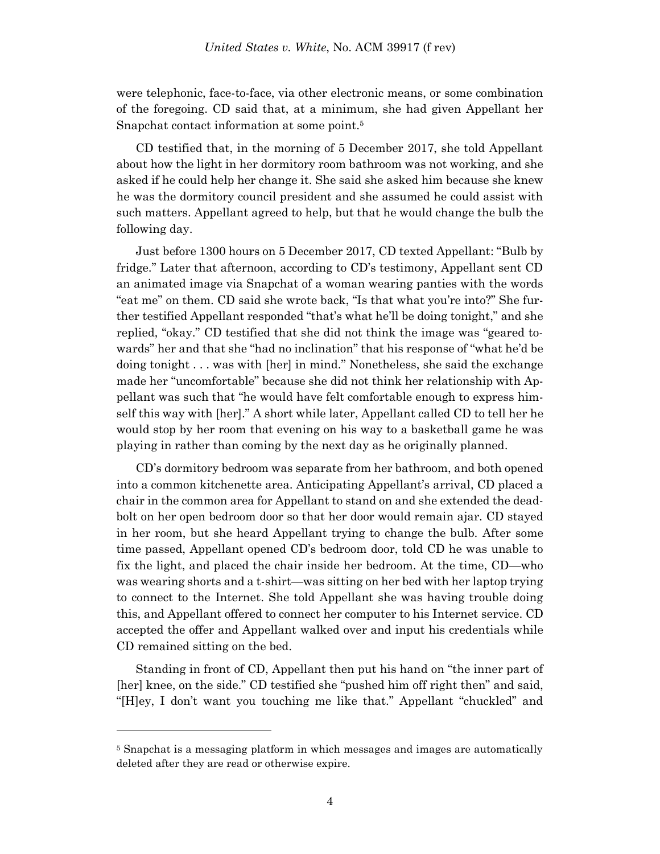were telephonic, face-to-face, via other electronic means, or some combination of the foregoing. CD said that, at a minimum, she had given Appellant her Snapchat contact information at some point. 5

CD testified that, in the morning of 5 December 2017, she told Appellant about how the light in her dormitory room bathroom was not working, and she asked if he could help her change it. She said she asked him because she knew he was the dormitory council president and she assumed he could assist with such matters. Appellant agreed to help, but that he would change the bulb the following day.

Just before 1300 hours on 5 December 2017, CD texted Appellant: "Bulb by fridge." Later that afternoon, according to CD's testimony, Appellant sent CD an animated image via Snapchat of a woman wearing panties with the words "eat me" on them. CD said she wrote back, "Is that what you're into?" She further testified Appellant responded "that's what he'll be doing tonight," and she replied, "okay." CD testified that she did not think the image was "geared towards" her and that she "had no inclination" that his response of "what he'd be doing tonight . . . was with [her] in mind." Nonetheless, she said the exchange made her "uncomfortable" because she did not think her relationship with Appellant was such that "he would have felt comfortable enough to express himself this way with [her]." A short while later, Appellant called CD to tell her he would stop by her room that evening on his way to a basketball game he was playing in rather than coming by the next day as he originally planned.

CD's dormitory bedroom was separate from her bathroom, and both opened into a common kitchenette area. Anticipating Appellant's arrival, CD placed a chair in the common area for Appellant to stand on and she extended the deadbolt on her open bedroom door so that her door would remain ajar. CD stayed in her room, but she heard Appellant trying to change the bulb. After some time passed, Appellant opened CD's bedroom door, told CD he was unable to fix the light, and placed the chair inside her bedroom. At the time, CD—who was wearing shorts and a t-shirt—was sitting on her bed with her laptop trying to connect to the Internet. She told Appellant she was having trouble doing this, and Appellant offered to connect her computer to his Internet service. CD accepted the offer and Appellant walked over and input his credentials while CD remained sitting on the bed.

Standing in front of CD, Appellant then put his hand on "the inner part of [her] knee, on the side." CD testified she "pushed him off right then" and said, "[H]ey, I don't want you touching me like that." Appellant "chuckled" and

<sup>&</sup>lt;sup>5</sup> Snapchat is a messaging platform in which messages and images are automatically deleted after they are read or otherwise expire.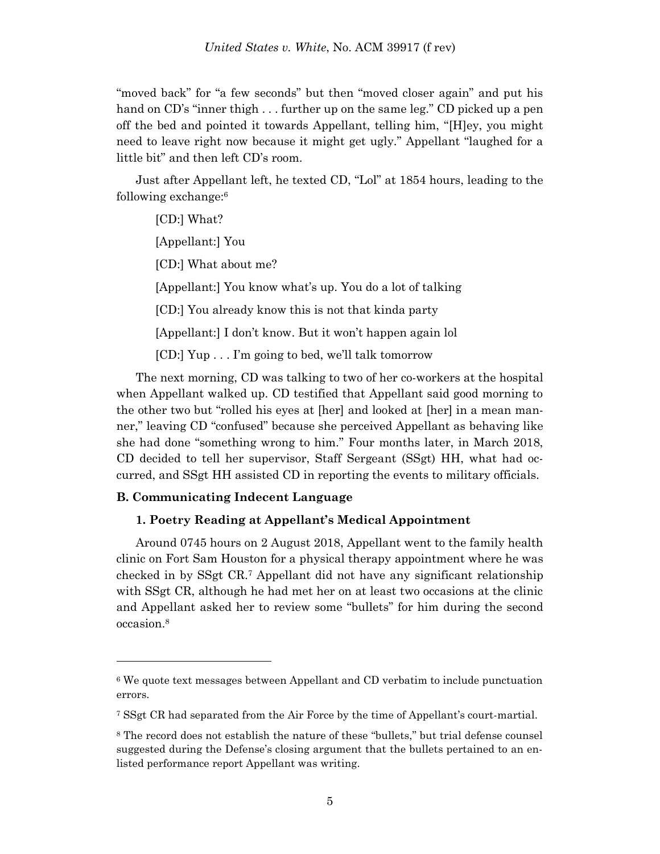"moved back" for "a few seconds" but then "moved closer again" and put his hand on CD's "inner thigh . . . further up on the same leg." CD picked up a pen off the bed and pointed it towards Appellant, telling him, "[H]ey, you might need to leave right now because it might get ugly." Appellant "laughed for a little bit" and then left CD's room.

Just after Appellant left, he texted CD, "Lol" at 1854 hours, leading to the following exchange:<sup>6</sup>

[CD:] What? [Appellant:] You [CD:] What about me? [Appellant:] You know what's up. You do a lot of talking [CD:] You already know this is not that kinda party [Appellant:] I don't know. But it won't happen again lol [CD:] Yup . . . I'm going to bed, we'll talk tomorrow

The next morning, CD was talking to two of her co-workers at the hospital when Appellant walked up. CD testified that Appellant said good morning to the other two but "rolled his eyes at [her] and looked at [her] in a mean manner," leaving CD "confused" because she perceived Appellant as behaving like she had done "something wrong to him." Four months later, in March 2018, CD decided to tell her supervisor, Staff Sergeant (SSgt) HH, what had occurred, and SSgt HH assisted CD in reporting the events to military officials.

# **B. Communicating Indecent Language**

l

# **1. Poetry Reading at Appellant's Medical Appointment**

Around 0745 hours on 2 August 2018, Appellant went to the family health clinic on Fort Sam Houston for a physical therapy appointment where he was checked in by SSgt CR.<sup>7</sup> Appellant did not have any significant relationship with SSgt CR, although he had met her on at least two occasions at the clinic and Appellant asked her to review some "bullets" for him during the second occasion.<sup>8</sup>

<sup>6</sup> We quote text messages between Appellant and CD verbatim to include punctuation errors.

<sup>7</sup> SSgt CR had separated from the Air Force by the time of Appellant's court-martial.

<sup>8</sup> The record does not establish the nature of these "bullets," but trial defense counsel suggested during the Defense's closing argument that the bullets pertained to an enlisted performance report Appellant was writing.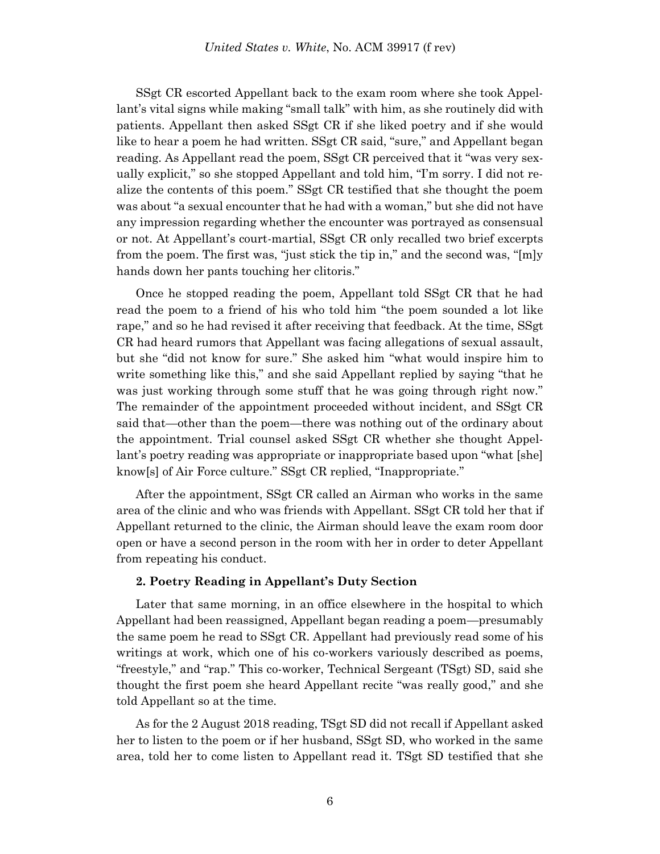SSgt CR escorted Appellant back to the exam room where she took Appellant's vital signs while making "small talk" with him, as she routinely did with patients. Appellant then asked SSgt CR if she liked poetry and if she would like to hear a poem he had written. SSgt CR said, "sure," and Appellant began reading. As Appellant read the poem, SSgt CR perceived that it "was very sexually explicit," so she stopped Appellant and told him, "I'm sorry. I did not realize the contents of this poem." SSgt CR testified that she thought the poem was about "a sexual encounter that he had with a woman," but she did not have any impression regarding whether the encounter was portrayed as consensual or not. At Appellant's court-martial, SSgt CR only recalled two brief excerpts from the poem. The first was, "just stick the tip in," and the second was, "[m]y hands down her pants touching her clitoris."

Once he stopped reading the poem, Appellant told SSgt CR that he had read the poem to a friend of his who told him "the poem sounded a lot like rape," and so he had revised it after receiving that feedback. At the time, SSgt CR had heard rumors that Appellant was facing allegations of sexual assault, but she "did not know for sure." She asked him "what would inspire him to write something like this," and she said Appellant replied by saying "that he was just working through some stuff that he was going through right now." The remainder of the appointment proceeded without incident, and SSgt CR said that—other than the poem—there was nothing out of the ordinary about the appointment. Trial counsel asked SSgt CR whether she thought Appellant's poetry reading was appropriate or inappropriate based upon "what [she] know[s] of Air Force culture." SSgt CR replied, "Inappropriate."

After the appointment, SSgt CR called an Airman who works in the same area of the clinic and who was friends with Appellant. SSgt CR told her that if Appellant returned to the clinic, the Airman should leave the exam room door open or have a second person in the room with her in order to deter Appellant from repeating his conduct.

# **2. Poetry Reading in Appellant's Duty Section**

Later that same morning, in an office elsewhere in the hospital to which Appellant had been reassigned, Appellant began reading a poem—presumably the same poem he read to SSgt CR. Appellant had previously read some of his writings at work, which one of his co-workers variously described as poems, "freestyle," and "rap." This co-worker, Technical Sergeant (TSgt) SD, said she thought the first poem she heard Appellant recite "was really good," and she told Appellant so at the time.

As for the 2 August 2018 reading, TSgt SD did not recall if Appellant asked her to listen to the poem or if her husband, SSgt SD, who worked in the same area, told her to come listen to Appellant read it. TSgt SD testified that she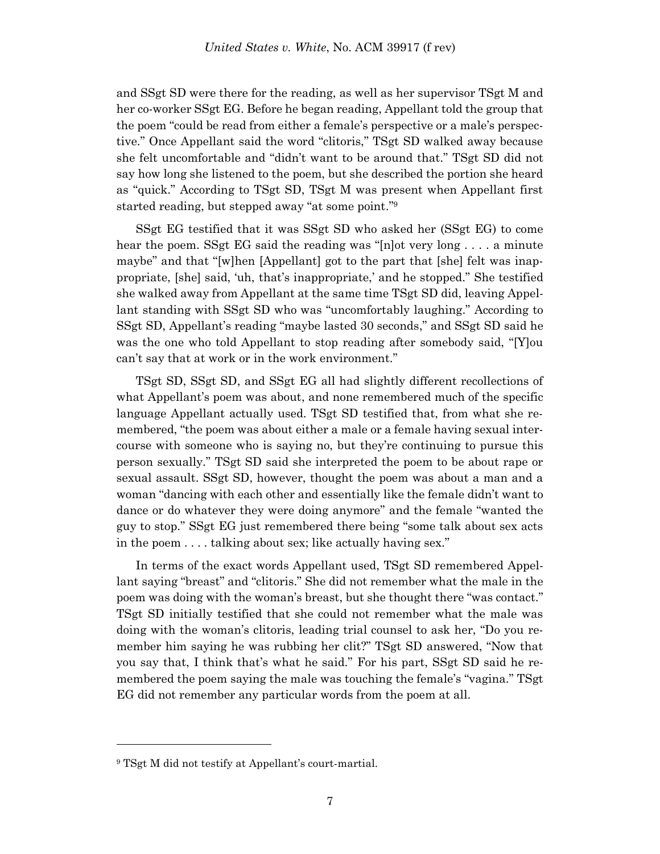and SSgt SD were there for the reading, as well as her supervisor TSgt M and her co-worker SSgt EG. Before he began reading, Appellant told the group that the poem "could be read from either a female's perspective or a male's perspective." Once Appellant said the word "clitoris," TSgt SD walked away because she felt uncomfortable and "didn't want to be around that." TSgt SD did not say how long she listened to the poem, but she described the portion she heard as "quick." According to TSgt SD, TSgt M was present when Appellant first started reading, but stepped away "at some point."<sup>9</sup>

SSgt EG testified that it was SSgt SD who asked her (SSgt EG) to come hear the poem. SSgt EG said the reading was "[n]ot very long . . . . a minute maybe" and that "[w]hen [Appellant] got to the part that [she] felt was inappropriate, [she] said, 'uh, that's inappropriate,' and he stopped." She testified she walked away from Appellant at the same time TSgt SD did, leaving Appellant standing with SSgt SD who was "uncomfortably laughing." According to SSgt SD, Appellant's reading "maybe lasted 30 seconds," and SSgt SD said he was the one who told Appellant to stop reading after somebody said, "[Y]ou can't say that at work or in the work environment."

TSgt SD, SSgt SD, and SSgt EG all had slightly different recollections of what Appellant's poem was about, and none remembered much of the specific language Appellant actually used. TSgt SD testified that, from what she remembered, "the poem was about either a male or a female having sexual intercourse with someone who is saying no, but they're continuing to pursue this person sexually." TSgt SD said she interpreted the poem to be about rape or sexual assault. SSgt SD, however, thought the poem was about a man and a woman "dancing with each other and essentially like the female didn't want to dance or do whatever they were doing anymore" and the female "wanted the guy to stop." SSgt EG just remembered there being "some talk about sex acts in the poem . . . . talking about sex; like actually having sex."

In terms of the exact words Appellant used, TSgt SD remembered Appellant saying "breast" and "clitoris." She did not remember what the male in the poem was doing with the woman's breast, but she thought there "was contact." TSgt SD initially testified that she could not remember what the male was doing with the woman's clitoris, leading trial counsel to ask her, "Do you remember him saying he was rubbing her clit?" TSgt SD answered, "Now that you say that, I think that's what he said." For his part, SSgt SD said he remembered the poem saying the male was touching the female's "vagina." TSgt EG did not remember any particular words from the poem at all.

<sup>9</sup> TSgt M did not testify at Appellant's court-martial.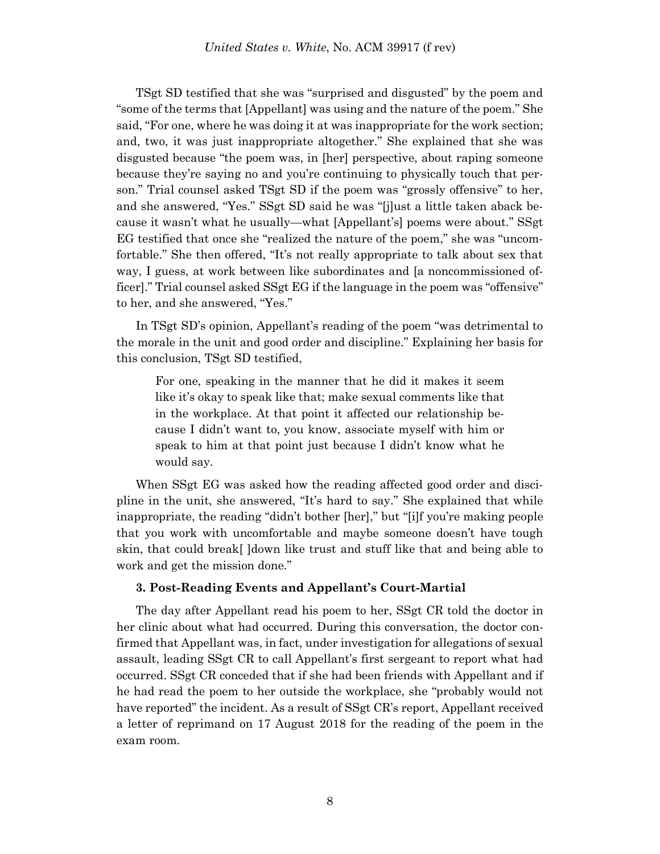TSgt SD testified that she was "surprised and disgusted" by the poem and "some of the terms that [Appellant] was using and the nature of the poem." She said, "For one, where he was doing it at was inappropriate for the work section; and, two, it was just inappropriate altogether." She explained that she was disgusted because "the poem was, in [her] perspective, about raping someone because they're saying no and you're continuing to physically touch that person." Trial counsel asked TSgt SD if the poem was "grossly offensive" to her, and she answered, "Yes." SSgt SD said he was "[j]ust a little taken aback because it wasn't what he usually—what [Appellant's] poems were about." SSgt EG testified that once she "realized the nature of the poem," she was "uncomfortable." She then offered, "It's not really appropriate to talk about sex that way, I guess, at work between like subordinates and [a noncommissioned officer]." Trial counsel asked SSgt EG if the language in the poem was "offensive" to her, and she answered, "Yes."

In TSgt SD's opinion, Appellant's reading of the poem "was detrimental to the morale in the unit and good order and discipline." Explaining her basis for this conclusion, TSgt SD testified,

For one, speaking in the manner that he did it makes it seem like it's okay to speak like that; make sexual comments like that in the workplace. At that point it affected our relationship because I didn't want to, you know, associate myself with him or speak to him at that point just because I didn't know what he would say.

When SSgt EG was asked how the reading affected good order and discipline in the unit, she answered, "It's hard to say." She explained that while inappropriate, the reading "didn't bother [her]," but "[i]f you're making people that you work with uncomfortable and maybe someone doesn't have tough skin, that could break[ ]down like trust and stuff like that and being able to work and get the mission done."

# **3. Post-Reading Events and Appellant's Court-Martial**

The day after Appellant read his poem to her, SSgt CR told the doctor in her clinic about what had occurred. During this conversation, the doctor confirmed that Appellant was, in fact, under investigation for allegations of sexual assault, leading SSgt CR to call Appellant's first sergeant to report what had occurred. SSgt CR conceded that if she had been friends with Appellant and if he had read the poem to her outside the workplace, she "probably would not have reported" the incident. As a result of SSgt CR's report, Appellant received a letter of reprimand on 17 August 2018 for the reading of the poem in the exam room.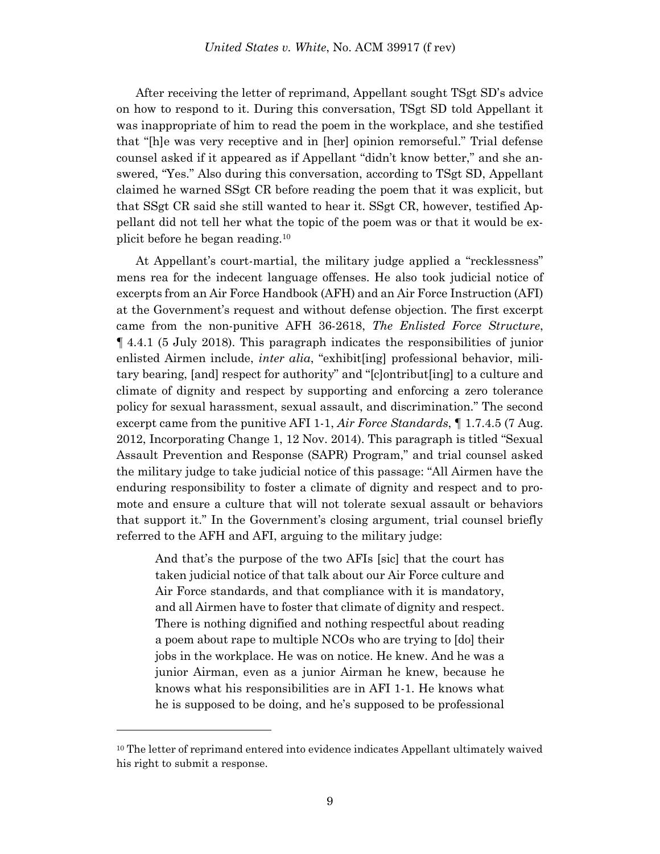After receiving the letter of reprimand, Appellant sought TSgt SD's advice on how to respond to it. During this conversation, TSgt SD told Appellant it was inappropriate of him to read the poem in the workplace, and she testified that "[h]e was very receptive and in [her] opinion remorseful." Trial defense counsel asked if it appeared as if Appellant "didn't know better," and she answered, "Yes." Also during this conversation, according to TSgt SD, Appellant claimed he warned SSgt CR before reading the poem that it was explicit, but that SSgt CR said she still wanted to hear it. SSgt CR, however, testified Appellant did not tell her what the topic of the poem was or that it would be explicit before he began reading.<sup>10</sup>

At Appellant's court-martial, the military judge applied a "recklessness" mens rea for the indecent language offenses. He also took judicial notice of excerpts from an Air Force Handbook (AFH) and an Air Force Instruction (AFI) at the Government's request and without defense objection. The first excerpt came from the non-punitive AFH 36-2618, *The Enlisted Force Structure*, ¶ 4.4.1 (5 July 2018). This paragraph indicates the responsibilities of junior enlisted Airmen include, *inter alia*, "exhibit[ing] professional behavior, military bearing, [and] respect for authority" and "[c]ontribut[ing] to a culture and climate of dignity and respect by supporting and enforcing a zero tolerance policy for sexual harassment, sexual assault, and discrimination." The second excerpt came from the punitive AFI 1-1, *Air Force Standards*, ¶ 1.7.4.5 (7 Aug. 2012, Incorporating Change 1, 12 Nov. 2014). This paragraph is titled "Sexual Assault Prevention and Response (SAPR) Program," and trial counsel asked the military judge to take judicial notice of this passage: "All Airmen have the enduring responsibility to foster a climate of dignity and respect and to promote and ensure a culture that will not tolerate sexual assault or behaviors that support it." In the Government's closing argument, trial counsel briefly referred to the AFH and AFI, arguing to the military judge:

And that's the purpose of the two AFIs [sic] that the court has taken judicial notice of that talk about our Air Force culture and Air Force standards, and that compliance with it is mandatory, and all Airmen have to foster that climate of dignity and respect. There is nothing dignified and nothing respectful about reading a poem about rape to multiple NCOs who are trying to [do] their jobs in the workplace. He was on notice. He knew. And he was a junior Airman, even as a junior Airman he knew, because he knows what his responsibilities are in AFI 1-1. He knows what he is supposed to be doing, and he's supposed to be professional

<sup>&</sup>lt;sup>10</sup> The letter of reprimand entered into evidence indicates Appellant ultimately waived his right to submit a response.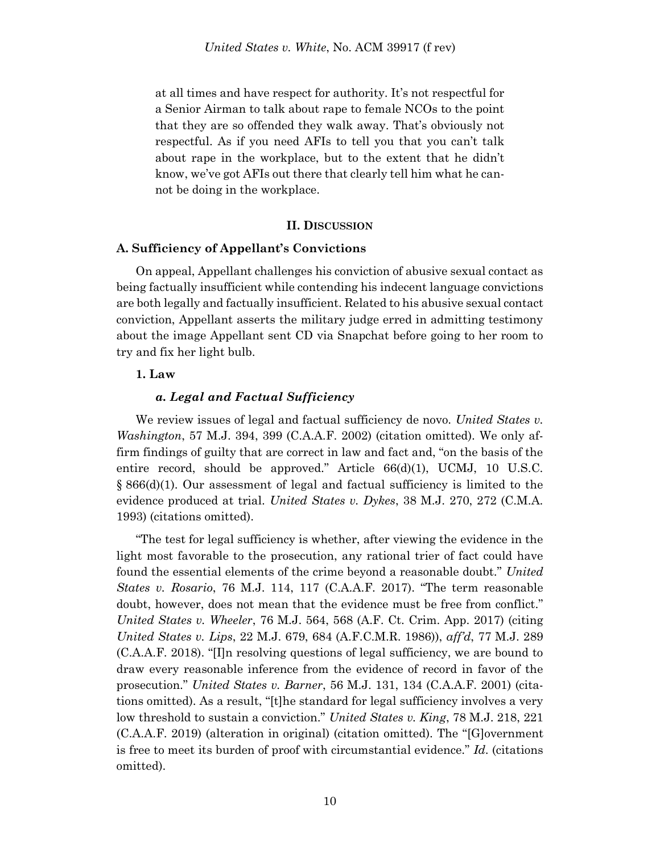at all times and have respect for authority. It's not respectful for a Senior Airman to talk about rape to female NCOs to the point that they are so offended they walk away. That's obviously not respectful. As if you need AFIs to tell you that you can't talk about rape in the workplace, but to the extent that he didn't know, we've got AFIs out there that clearly tell him what he cannot be doing in the workplace.

# **II. DISCUSSION**

#### **A. Sufficiency of Appellant's Convictions**

On appeal, Appellant challenges his conviction of abusive sexual contact as being factually insufficient while contending his indecent language convictions are both legally and factually insufficient. Related to his abusive sexual contact conviction, Appellant asserts the military judge erred in admitting testimony about the image Appellant sent CD via Snapchat before going to her room to try and fix her light bulb.

# **1. Law**

#### *a. Legal and Factual Sufficiency*

We review issues of legal and factual sufficiency de novo. *United States v. Washington*, 57 M.J. 394, 399 (C.A.A.F. 2002) (citation omitted). We only affirm findings of guilty that are correct in law and fact and, "on the basis of the entire record, should be approved." Article 66(d)(1), UCMJ, 10 U.S.C. § 866(d)(1). Our assessment of legal and factual sufficiency is limited to the evidence produced at trial. *United States v. Dykes*, 38 M.J. 270, 272 (C.M.A. 1993) (citations omitted).

"The test for legal sufficiency is whether, after viewing the evidence in the light most favorable to the prosecution, any rational trier of fact could have found the essential elements of the crime beyond a reasonable doubt." *United States v. Rosario*, 76 M.J. 114, 117 (C.A.A.F. 2017). "The term reasonable doubt, however, does not mean that the evidence must be free from conflict." *United States v. Wheeler*, 76 M.J. 564, 568 (A.F. Ct. Crim. App. 2017) (citing *United States v. Lips*, 22 M.J. 679, 684 (A.F.C.M.R. 1986)), *aff'd*, 77 M.J. 289 (C.A.A.F. 2018). "[I]n resolving questions of legal sufficiency, we are bound to draw every reasonable inference from the evidence of record in favor of the prosecution." *United States v. Barner*, 56 M.J. 131, 134 (C.A.A.F. 2001) (citations omitted). As a result, "[t]he standard for legal sufficiency involves a very low threshold to sustain a conviction." *United States v. King*, 78 M.J. 218, 221 (C.A.A.F. 2019) (alteration in original) (citation omitted). The "[G]overnment is free to meet its burden of proof with circumstantial evidence." *Id*. (citations omitted).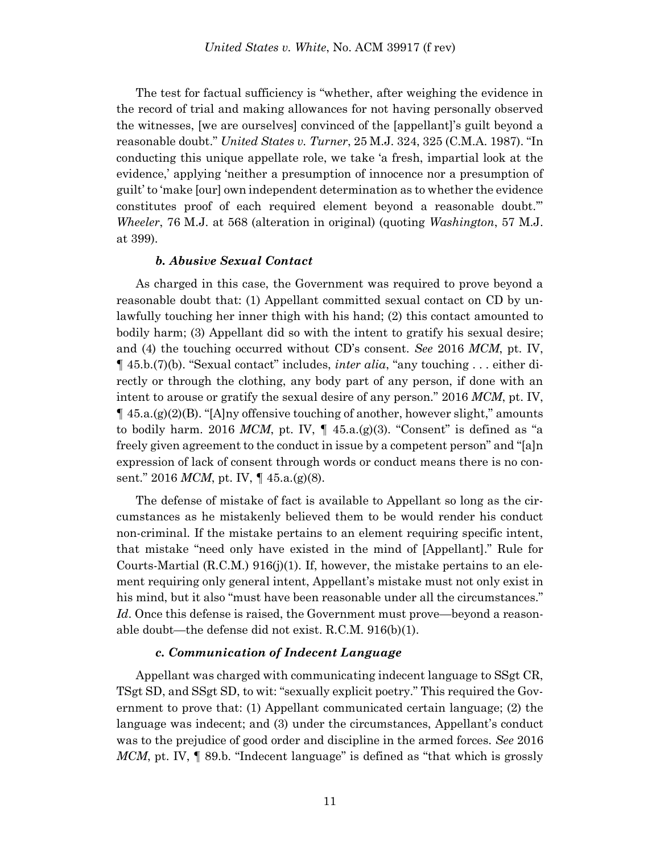The test for factual sufficiency is "whether, after weighing the evidence in the record of trial and making allowances for not having personally observed the witnesses, [we are ourselves] convinced of the [appellant]'s guilt beyond a reasonable doubt." *United States v. Turner*, 25 M.J. 324, 325 (C.M.A. 1987). "In conducting this unique appellate role, we take 'a fresh, impartial look at the evidence,' applying 'neither a presumption of innocence nor a presumption of guilt' to 'make [our] own independent determination as to whether the evidence constitutes proof of each required element beyond a reasonable doubt.'" *Wheeler*, 76 M.J. at 568 (alteration in original) (quoting *Washington*, 57 M.J. at 399).

#### *b. Abusive Sexual Contact*

As charged in this case, the Government was required to prove beyond a reasonable doubt that: (1) Appellant committed sexual contact on CD by unlawfully touching her inner thigh with his hand; (2) this contact amounted to bodily harm; (3) Appellant did so with the intent to gratify his sexual desire; and (4) the touching occurred without CD's consent. *See* 2016 *MCM*, pt. IV, ¶ 45.b.(7)(b). "Sexual contact" includes, *inter alia*, "any touching . . . either directly or through the clothing, any body part of any person, if done with an intent to arouse or gratify the sexual desire of any person." 2016 *MCM*, pt. IV,  $\P$  45.a.(g)(2)(B). "[A]ny offensive touching of another, however slight," amounts to bodily harm. 2016 *MCM*, pt. IV,  $\P$  45.a. $(g)(3)$ . "Consent" is defined as "a freely given agreement to the conduct in issue by a competent person" and "[a]n expression of lack of consent through words or conduct means there is no consent." 2016 *MCM*, pt. IV, ¶ 45.a.(g)(8).

The defense of mistake of fact is available to Appellant so long as the circumstances as he mistakenly believed them to be would render his conduct non-criminal. If the mistake pertains to an element requiring specific intent, that mistake "need only have existed in the mind of [Appellant]." Rule for Courts-Martial  $(R.C.M.)$  916(j)(1). If, however, the mistake pertains to an element requiring only general intent, Appellant's mistake must not only exist in his mind, but it also "must have been reasonable under all the circumstances." *Id*. Once this defense is raised, the Government must prove—beyond a reasonable doubt—the defense did not exist. R.C.M. 916(b)(1).

#### *c. Communication of Indecent Language*

Appellant was charged with communicating indecent language to SSgt CR, TSgt SD, and SSgt SD, to wit: "sexually explicit poetry." This required the Government to prove that: (1) Appellant communicated certain language; (2) the language was indecent; and (3) under the circumstances, Appellant's conduct was to the prejudice of good order and discipline in the armed forces. *See* 2016 *MCM*, pt. IV,  $\parallel$  89.b. "Indecent language" is defined as "that which is grossly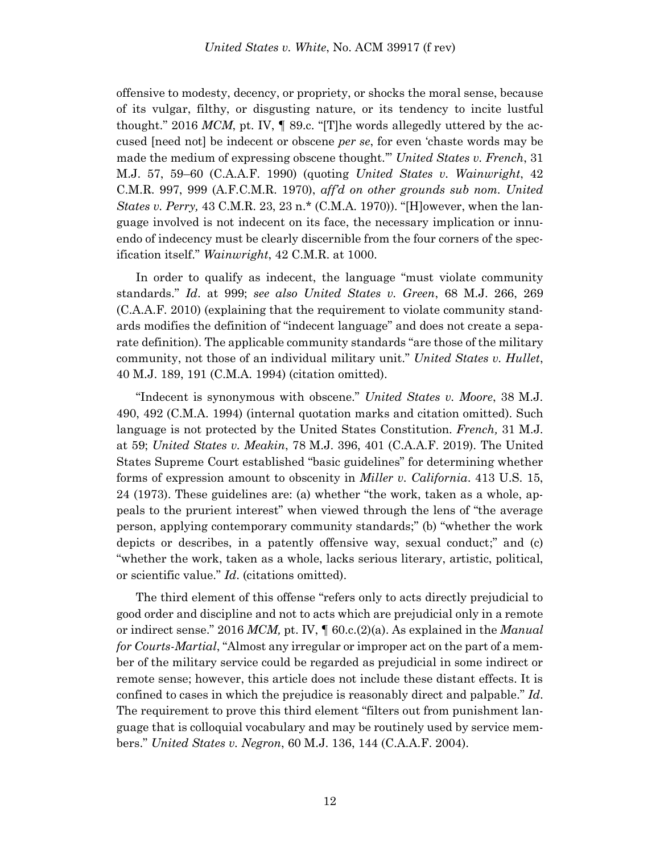offensive to modesty, decency, or propriety, or shocks the moral sense, because of its vulgar, filthy, or disgusting nature, or its tendency to incite lustful thought." 2016 MCM, pt. IV,  $\parallel$  89.c. "[T]he words allegedly uttered by the accused [need not] be indecent or obscene *per se*, for even 'chaste words may be made the medium of expressing obscene thought.'" *United States v. French*, 31 M.J. 57, 59–60 (C.A.A.F. 1990) (quoting *United States v. Wainwright*, 42 C.M.R. 997, 999 (A.F.C.M.R. 1970), *aff'd on other grounds sub nom. United States v. Perry,* 43 C.M.R. 23, 23 n.\* (C.M.A. 1970)). "[H]owever, when the language involved is not indecent on its face, the necessary implication or innuendo of indecency must be clearly discernible from the four corners of the specification itself." *Wainwright*, 42 C.M.R. at 1000.

In order to qualify as indecent, the language "must violate community standards." *Id*. at 999; *see also United States v. Green*, 68 M.J. 266, 269 (C.A.A.F. 2010) (explaining that the requirement to violate community standards modifies the definition of "indecent language" and does not create a separate definition). The applicable community standards "are those of the military community, not those of an individual military unit." *United States v. Hullet*, 40 M.J. 189, 191 (C.M.A. 1994) (citation omitted).

"Indecent is synonymous with obscene." *United States v. Moore*, 38 M.J. 490, 492 (C.M.A. 1994) (internal quotation marks and citation omitted). Such language is not protected by the United States Constitution. *French,* 31 M.J. at 59; *United States v. Meakin*, 78 M.J. 396, 401 (C.A.A.F. 2019). The United States Supreme Court established "basic guidelines" for determining whether forms of expression amount to obscenity in *Miller v. California*. 413 U.S. 15, 24 (1973). These guidelines are: (a) whether "the work, taken as a whole, appeals to the prurient interest" when viewed through the lens of "the average person, applying contemporary community standards;" (b) "whether the work depicts or describes, in a patently offensive way, sexual conduct;" and (c) "whether the work, taken as a whole, lacks serious literary, artistic, political, or scientific value." *Id*. (citations omitted).

The third element of this offense "refers only to acts directly prejudicial to good order and discipline and not to acts which are prejudicial only in a remote or indirect sense." 2016 *MCM,* pt. IV, ¶ 60.c.(2)(a). As explained in the *Manual for Courts-Martial*, "Almost any irregular or improper act on the part of a member of the military service could be regarded as prejudicial in some indirect or remote sense; however, this article does not include these distant effects. It is confined to cases in which the prejudice is reasonably direct and palpable." *Id*. The requirement to prove this third element "filters out from punishment language that is colloquial vocabulary and may be routinely used by service members." *United States v. Negron*, 60 M.J. 136, 144 (C.A.A.F. 2004).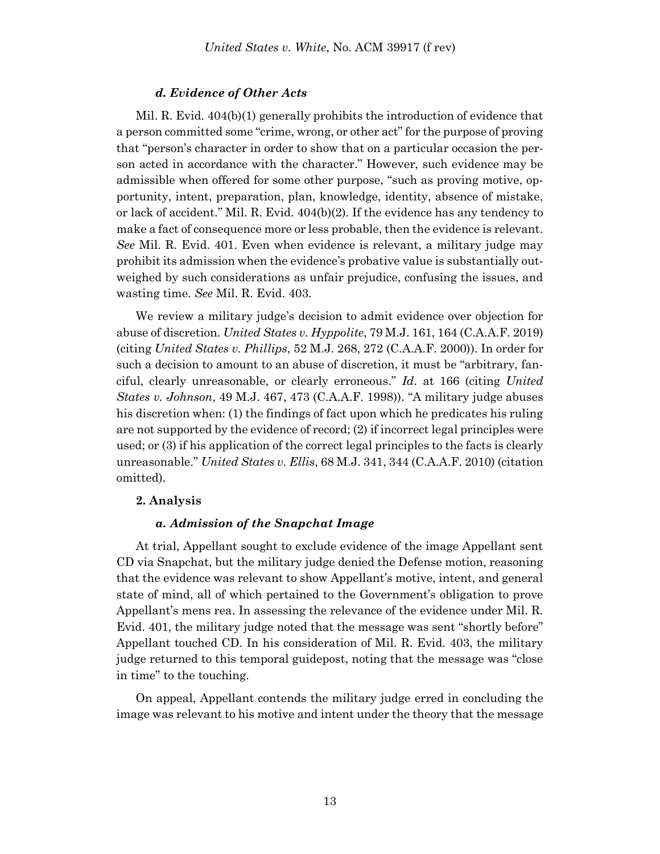# *d. Evidence of Other Acts*

Mil. R. Evid. 404(b)(1) generally prohibits the introduction of evidence that a person committed some "crime, wrong, or other act" for the purpose of proving that "person's character in order to show that on a particular occasion the person acted in accordance with the character." However, such evidence may be admissible when offered for some other purpose, "such as proving motive, opportunity, intent, preparation, plan, knowledge, identity, absence of mistake, or lack of accident." Mil. R. Evid. 404(b)(2). If the evidence has any tendency to make a fact of consequence more or less probable, then the evidence is relevant. *See* Mil. R. Evid. 401. Even when evidence is relevant, a military judge may prohibit its admission when the evidence's probative value is substantially outweighed by such considerations as unfair prejudice, confusing the issues, and wasting time. *See* Mil. R. Evid. 403.

We review a military judge's decision to admit evidence over objection for abuse of discretion. *United States v. Hyppolite*, 79 M.J. 161, 164 (C.A.A.F. 2019) (citing *United States v. Phillips*, 52 M.J. 268, 272 (C.A.A.F. 2000)). In order for such a decision to amount to an abuse of discretion, it must be "arbitrary, fanciful, clearly unreasonable, or clearly erroneous." *Id*. at 166 (citing *United States v. Johnson*, 49 M.J. 467, 473 (C.A.A.F. 1998)). "A military judge abuses his discretion when: (1) the findings of fact upon which he predicates his ruling are not supported by the evidence of record; (2) if incorrect legal principles were used; or (3) if his application of the correct legal principles to the facts is clearly unreasonable." *United States v. Ellis*, 68 M.J. 341, 344 (C.A.A.F. 2010) (citation omitted).

#### **2. Analysis**

### *a. Admission of the Snapchat Image*

At trial, Appellant sought to exclude evidence of the image Appellant sent CD via Snapchat, but the military judge denied the Defense motion, reasoning that the evidence was relevant to show Appellant's motive, intent, and general state of mind, all of which pertained to the Government's obligation to prove Appellant's mens rea. In assessing the relevance of the evidence under Mil. R. Evid. 401, the military judge noted that the message was sent "shortly before" Appellant touched CD. In his consideration of Mil. R. Evid. 403, the military judge returned to this temporal guidepost, noting that the message was "close in time" to the touching.

On appeal, Appellant contends the military judge erred in concluding the image was relevant to his motive and intent under the theory that the message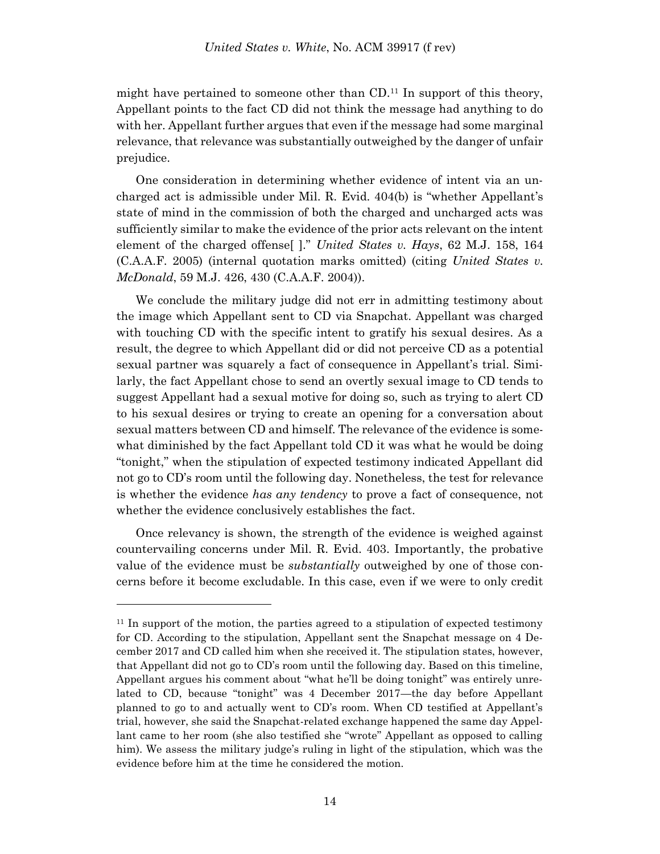might have pertained to someone other than  $CD<sup>11</sup>$  In support of this theory, Appellant points to the fact CD did not think the message had anything to do with her. Appellant further argues that even if the message had some marginal relevance, that relevance was substantially outweighed by the danger of unfair prejudice.

One consideration in determining whether evidence of intent via an uncharged act is admissible under Mil. R. Evid. 404(b) is "whether Appellant's state of mind in the commission of both the charged and uncharged acts was sufficiently similar to make the evidence of the prior acts relevant on the intent element of the charged offense[ ]." *United States v. Hays*, 62 M.J. 158, 164 (C.A.A.F. 2005) (internal quotation marks omitted) (citing *United States v. McDonald*, 59 M.J. 426, 430 (C.A.A.F. 2004)).

We conclude the military judge did not err in admitting testimony about the image which Appellant sent to CD via Snapchat. Appellant was charged with touching CD with the specific intent to gratify his sexual desires. As a result, the degree to which Appellant did or did not perceive CD as a potential sexual partner was squarely a fact of consequence in Appellant's trial. Similarly, the fact Appellant chose to send an overtly sexual image to CD tends to suggest Appellant had a sexual motive for doing so, such as trying to alert CD to his sexual desires or trying to create an opening for a conversation about sexual matters between CD and himself. The relevance of the evidence is somewhat diminished by the fact Appellant told CD it was what he would be doing "tonight," when the stipulation of expected testimony indicated Appellant did not go to CD's room until the following day. Nonetheless, the test for relevance is whether the evidence *has any tendency* to prove a fact of consequence, not whether the evidence conclusively establishes the fact.

Once relevancy is shown, the strength of the evidence is weighed against countervailing concerns under Mil. R. Evid. 403. Importantly, the probative value of the evidence must be *substantially* outweighed by one of those concerns before it become excludable. In this case, even if we were to only credit

<sup>&</sup>lt;sup>11</sup> In support of the motion, the parties agreed to a stipulation of expected testimony for CD. According to the stipulation, Appellant sent the Snapchat message on 4 December 2017 and CD called him when she received it. The stipulation states, however, that Appellant did not go to CD's room until the following day. Based on this timeline, Appellant argues his comment about "what he'll be doing tonight" was entirely unrelated to CD, because "tonight" was 4 December 2017—the day before Appellant planned to go to and actually went to CD's room. When CD testified at Appellant's trial, however, she said the Snapchat-related exchange happened the same day Appellant came to her room (she also testified she "wrote" Appellant as opposed to calling him). We assess the military judge's ruling in light of the stipulation, which was the evidence before him at the time he considered the motion.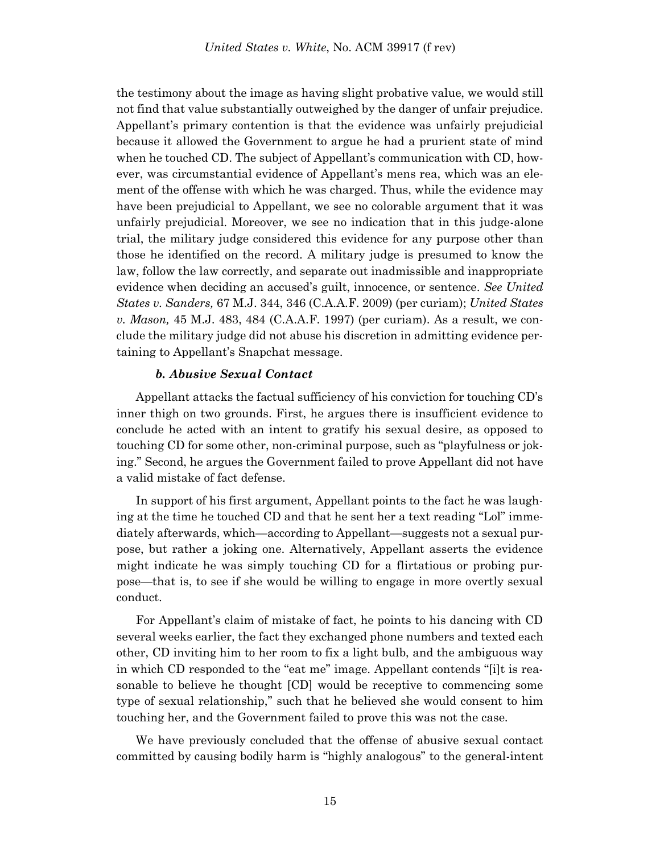the testimony about the image as having slight probative value, we would still not find that value substantially outweighed by the danger of unfair prejudice. Appellant's primary contention is that the evidence was unfairly prejudicial because it allowed the Government to argue he had a prurient state of mind when he touched CD. The subject of Appellant's communication with CD, however, was circumstantial evidence of Appellant's mens rea, which was an element of the offense with which he was charged. Thus, while the evidence may have been prejudicial to Appellant, we see no colorable argument that it was unfairly prejudicial. Moreover, we see no indication that in this judge-alone trial, the military judge considered this evidence for any purpose other than those he identified on the record. A military judge is presumed to know the law, follow the law correctly, and separate out inadmissible and inappropriate evidence when deciding an accused's guilt, innocence, or sentence. *See United States v. Sanders,* 67 M.J. 344, 346 (C.A.A.F. 2009) (per curiam); *United States v. Mason,* 45 M.J. 483, 484 (C.A.A.F. 1997) (per curiam). As a result, we conclude the military judge did not abuse his discretion in admitting evidence pertaining to Appellant's Snapchat message.

# *b. Abusive Sexual Contact*

Appellant attacks the factual sufficiency of his conviction for touching CD's inner thigh on two grounds. First, he argues there is insufficient evidence to conclude he acted with an intent to gratify his sexual desire, as opposed to touching CD for some other, non-criminal purpose, such as "playfulness or joking." Second, he argues the Government failed to prove Appellant did not have a valid mistake of fact defense.

In support of his first argument, Appellant points to the fact he was laughing at the time he touched CD and that he sent her a text reading "Lol" immediately afterwards, which—according to Appellant—suggests not a sexual purpose, but rather a joking one. Alternatively, Appellant asserts the evidence might indicate he was simply touching CD for a flirtatious or probing purpose—that is, to see if she would be willing to engage in more overtly sexual conduct.

For Appellant's claim of mistake of fact, he points to his dancing with CD several weeks earlier, the fact they exchanged phone numbers and texted each other, CD inviting him to her room to fix a light bulb, and the ambiguous way in which CD responded to the "eat me" image. Appellant contends "[i]t is reasonable to believe he thought [CD] would be receptive to commencing some type of sexual relationship," such that he believed she would consent to him touching her, and the Government failed to prove this was not the case.

We have previously concluded that the offense of abusive sexual contact committed by causing bodily harm is "highly analogous" to the general-intent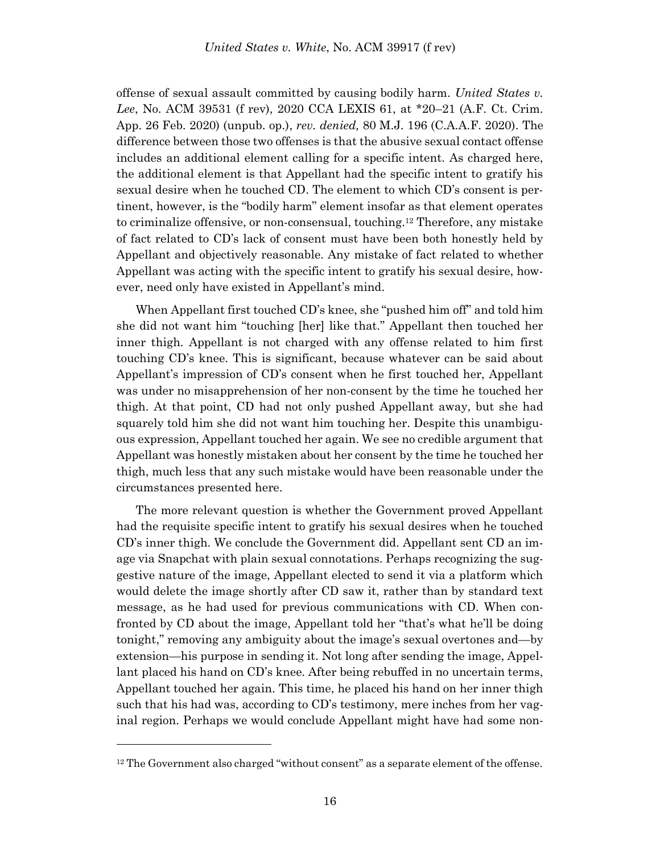offense of sexual assault committed by causing bodily harm. *United States v. Lee*, No. ACM 39531 (f rev), 2020 CCA LEXIS 61, at \*20–21 (A.F. Ct. Crim. App. 26 Feb. 2020) (unpub. op.), *rev. denied,* 80 M.J. 196 (C.A.A.F. 2020). The difference between those two offenses is that the abusive sexual contact offense includes an additional element calling for a specific intent. As charged here, the additional element is that Appellant had the specific intent to gratify his sexual desire when he touched CD. The element to which CD's consent is pertinent, however, is the "bodily harm" element insofar as that element operates to criminalize offensive, or non-consensual, touching.<sup>12</sup> Therefore, any mistake of fact related to CD's lack of consent must have been both honestly held by Appellant and objectively reasonable. Any mistake of fact related to whether Appellant was acting with the specific intent to gratify his sexual desire, however, need only have existed in Appellant's mind.

When Appellant first touched CD's knee, she "pushed him off" and told him she did not want him "touching [her] like that." Appellant then touched her inner thigh. Appellant is not charged with any offense related to him first touching CD's knee. This is significant, because whatever can be said about Appellant's impression of CD's consent when he first touched her, Appellant was under no misapprehension of her non-consent by the time he touched her thigh. At that point, CD had not only pushed Appellant away, but she had squarely told him she did not want him touching her. Despite this unambiguous expression, Appellant touched her again. We see no credible argument that Appellant was honestly mistaken about her consent by the time he touched her thigh, much less that any such mistake would have been reasonable under the circumstances presented here.

The more relevant question is whether the Government proved Appellant had the requisite specific intent to gratify his sexual desires when he touched CD's inner thigh. We conclude the Government did. Appellant sent CD an image via Snapchat with plain sexual connotations. Perhaps recognizing the suggestive nature of the image, Appellant elected to send it via a platform which would delete the image shortly after CD saw it, rather than by standard text message, as he had used for previous communications with CD. When confronted by CD about the image, Appellant told her "that's what he'll be doing tonight," removing any ambiguity about the image's sexual overtones and—by extension—his purpose in sending it. Not long after sending the image, Appellant placed his hand on CD's knee. After being rebuffed in no uncertain terms, Appellant touched her again. This time, he placed his hand on her inner thigh such that his had was, according to CD's testimony, mere inches from her vaginal region. Perhaps we would conclude Appellant might have had some non-

<sup>&</sup>lt;sup>12</sup> The Government also charged "without consent" as a separate element of the offense.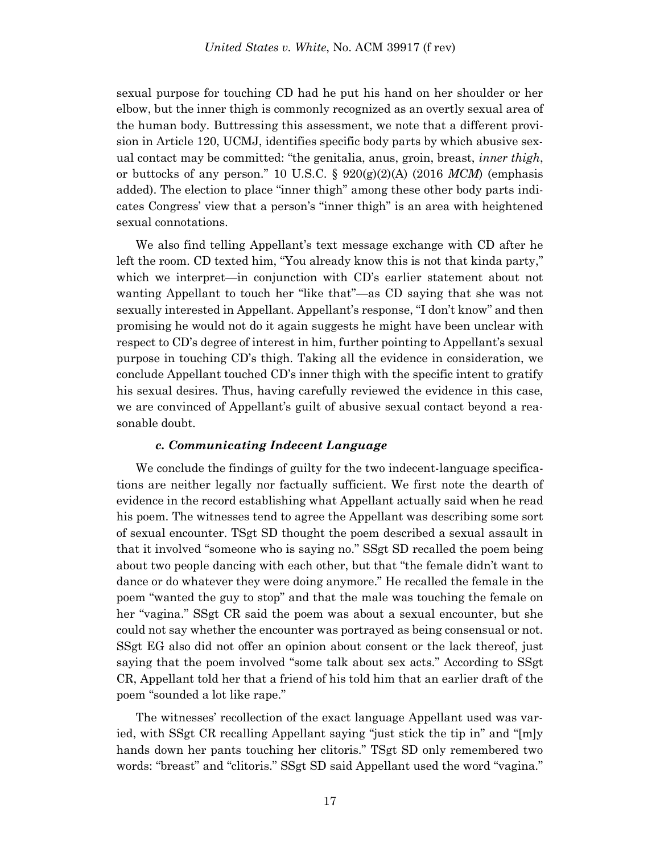sexual purpose for touching CD had he put his hand on her shoulder or her elbow, but the inner thigh is commonly recognized as an overtly sexual area of the human body. Buttressing this assessment, we note that a different provision in Article 120, UCMJ, identifies specific body parts by which abusive sexual contact may be committed: "the genitalia, anus, groin, breast, *inner thigh*, or buttocks of any person." 10 U.S.C. §  $920(g)(2)(A)$  (2016 *MCM*) (emphasis added). The election to place "inner thigh" among these other body parts indicates Congress' view that a person's "inner thigh" is an area with heightened sexual connotations.

We also find telling Appellant's text message exchange with CD after he left the room. CD texted him, "You already know this is not that kinda party," which we interpret—in conjunction with CD's earlier statement about not wanting Appellant to touch her "like that"—as CD saying that she was not sexually interested in Appellant. Appellant's response, "I don't know" and then promising he would not do it again suggests he might have been unclear with respect to CD's degree of interest in him, further pointing to Appellant's sexual purpose in touching CD's thigh. Taking all the evidence in consideration, we conclude Appellant touched CD's inner thigh with the specific intent to gratify his sexual desires. Thus, having carefully reviewed the evidence in this case, we are convinced of Appellant's guilt of abusive sexual contact beyond a reasonable doubt.

#### *c. Communicating Indecent Language*

We conclude the findings of guilty for the two indecent-language specifications are neither legally nor factually sufficient. We first note the dearth of evidence in the record establishing what Appellant actually said when he read his poem. The witnesses tend to agree the Appellant was describing some sort of sexual encounter. TSgt SD thought the poem described a sexual assault in that it involved "someone who is saying no." SSgt SD recalled the poem being about two people dancing with each other, but that "the female didn't want to dance or do whatever they were doing anymore." He recalled the female in the poem "wanted the guy to stop" and that the male was touching the female on her "vagina." SSgt CR said the poem was about a sexual encounter, but she could not say whether the encounter was portrayed as being consensual or not. SSgt EG also did not offer an opinion about consent or the lack thereof, just saying that the poem involved "some talk about sex acts." According to SSgt CR, Appellant told her that a friend of his told him that an earlier draft of the poem "sounded a lot like rape."

The witnesses' recollection of the exact language Appellant used was varied, with SSgt CR recalling Appellant saying "just stick the tip in" and "[m]y hands down her pants touching her clitoris." TSgt SD only remembered two words: "breast" and "clitoris." SSgt SD said Appellant used the word "vagina."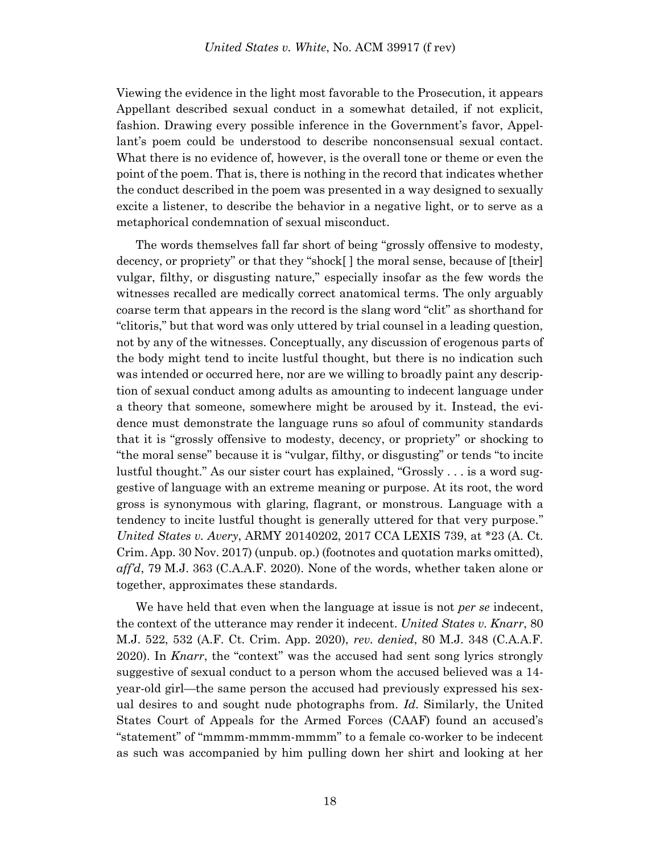Viewing the evidence in the light most favorable to the Prosecution, it appears Appellant described sexual conduct in a somewhat detailed, if not explicit, fashion. Drawing every possible inference in the Government's favor, Appellant's poem could be understood to describe nonconsensual sexual contact. What there is no evidence of, however, is the overall tone or theme or even the point of the poem. That is, there is nothing in the record that indicates whether the conduct described in the poem was presented in a way designed to sexually excite a listener, to describe the behavior in a negative light, or to serve as a metaphorical condemnation of sexual misconduct.

The words themselves fall far short of being "grossly offensive to modesty, decency, or propriety" or that they "shock[ ] the moral sense, because of [their] vulgar, filthy, or disgusting nature," especially insofar as the few words the witnesses recalled are medically correct anatomical terms. The only arguably coarse term that appears in the record is the slang word "clit" as shorthand for "clitoris," but that word was only uttered by trial counsel in a leading question, not by any of the witnesses. Conceptually, any discussion of erogenous parts of the body might tend to incite lustful thought, but there is no indication such was intended or occurred here, nor are we willing to broadly paint any description of sexual conduct among adults as amounting to indecent language under a theory that someone, somewhere might be aroused by it. Instead, the evidence must demonstrate the language runs so afoul of community standards that it is "grossly offensive to modesty, decency, or propriety" or shocking to "the moral sense" because it is "vulgar, filthy, or disgusting" or tends "to incite lustful thought." As our sister court has explained, "Grossly . . . is a word suggestive of language with an extreme meaning or purpose. At its root, the word gross is synonymous with glaring, flagrant, or monstrous. Language with a tendency to incite lustful thought is generally uttered for that very purpose." *United States v. Avery*, ARMY 20140202, 2017 CCA LEXIS 739, at \*23 (A. Ct. Crim. App. 30 Nov. 2017) (unpub. op.) (footnotes and quotation marks omitted), *aff'd*, 79 M.J. 363 (C.A.A.F. 2020). None of the words, whether taken alone or together, approximates these standards.

We have held that even when the language at issue is not *per se* indecent, the context of the utterance may render it indecent. *United States v. Knarr*, 80 M.J. 522, 532 (A.F. Ct. Crim. App. 2020), *rev. denied*, 80 M.J. 348 (C.A.A.F. 2020). In *Knarr*, the "context" was the accused had sent song lyrics strongly suggestive of sexual conduct to a person whom the accused believed was a 14 year-old girl—the same person the accused had previously expressed his sexual desires to and sought nude photographs from. *Id*. Similarly, the United States Court of Appeals for the Armed Forces (CAAF) found an accused's "statement" of "mmmm-mmmm-mmmm" to a female co-worker to be indecent as such was accompanied by him pulling down her shirt and looking at her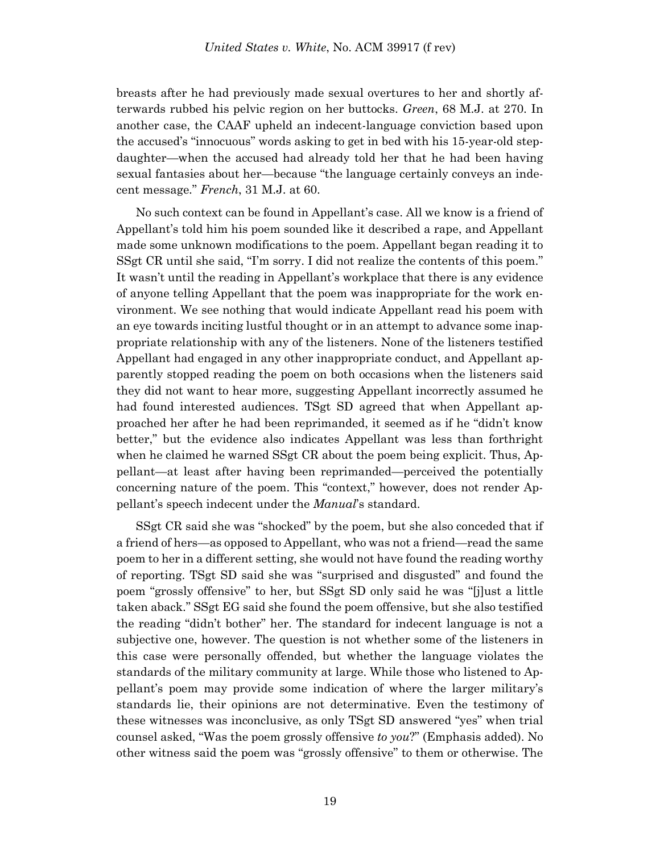breasts after he had previously made sexual overtures to her and shortly afterwards rubbed his pelvic region on her buttocks. *Green*, 68 M.J. at 270. In another case, the CAAF upheld an indecent-language conviction based upon the accused's "innocuous" words asking to get in bed with his 15-year-old stepdaughter—when the accused had already told her that he had been having sexual fantasies about her—because "the language certainly conveys an indecent message." *French*, 31 M.J. at 60.

No such context can be found in Appellant's case. All we know is a friend of Appellant's told him his poem sounded like it described a rape, and Appellant made some unknown modifications to the poem. Appellant began reading it to SSgt CR until she said, "I'm sorry. I did not realize the contents of this poem." It wasn't until the reading in Appellant's workplace that there is any evidence of anyone telling Appellant that the poem was inappropriate for the work environment. We see nothing that would indicate Appellant read his poem with an eye towards inciting lustful thought or in an attempt to advance some inappropriate relationship with any of the listeners. None of the listeners testified Appellant had engaged in any other inappropriate conduct, and Appellant apparently stopped reading the poem on both occasions when the listeners said they did not want to hear more, suggesting Appellant incorrectly assumed he had found interested audiences. TSgt SD agreed that when Appellant approached her after he had been reprimanded, it seemed as if he "didn't know better," but the evidence also indicates Appellant was less than forthright when he claimed he warned SSgt CR about the poem being explicit. Thus, Appellant—at least after having been reprimanded—perceived the potentially concerning nature of the poem. This "context," however, does not render Appellant's speech indecent under the *Manual*'s standard.

SSgt CR said she was "shocked" by the poem, but she also conceded that if a friend of hers—as opposed to Appellant, who was not a friend—read the same poem to her in a different setting, she would not have found the reading worthy of reporting. TSgt SD said she was "surprised and disgusted" and found the poem "grossly offensive" to her, but SSgt SD only said he was "[j]ust a little taken aback." SSgt EG said she found the poem offensive, but she also testified the reading "didn't bother" her. The standard for indecent language is not a subjective one, however. The question is not whether some of the listeners in this case were personally offended, but whether the language violates the standards of the military community at large. While those who listened to Appellant's poem may provide some indication of where the larger military's standards lie, their opinions are not determinative. Even the testimony of these witnesses was inconclusive, as only TSgt SD answered "yes" when trial counsel asked, "Was the poem grossly offensive *to you*?" (Emphasis added). No other witness said the poem was "grossly offensive" to them or otherwise. The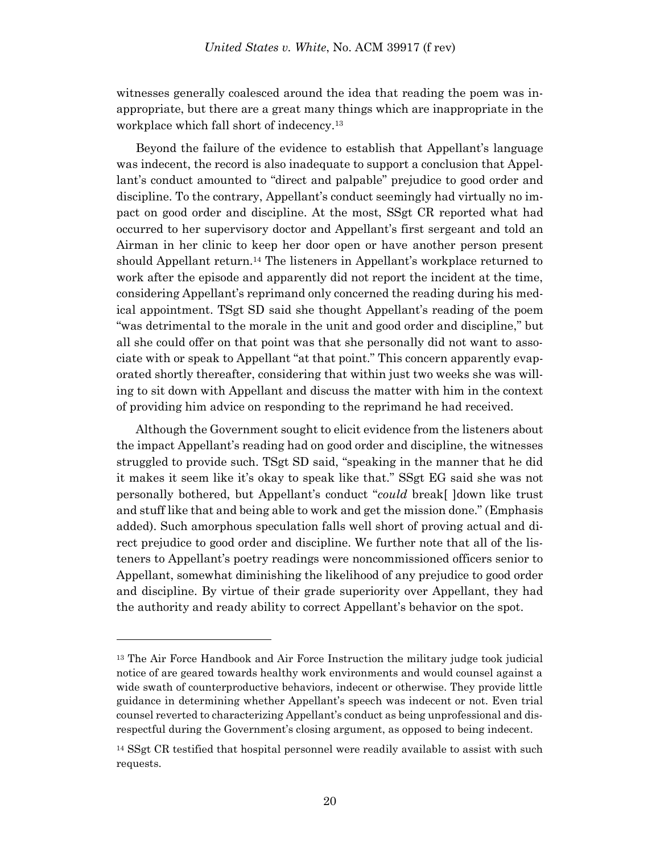witnesses generally coalesced around the idea that reading the poem was inappropriate, but there are a great many things which are inappropriate in the workplace which fall short of indecency.<sup>13</sup>

Beyond the failure of the evidence to establish that Appellant's language was indecent, the record is also inadequate to support a conclusion that Appellant's conduct amounted to "direct and palpable" prejudice to good order and discipline. To the contrary, Appellant's conduct seemingly had virtually no impact on good order and discipline. At the most, SSgt CR reported what had occurred to her supervisory doctor and Appellant's first sergeant and told an Airman in her clinic to keep her door open or have another person present should Appellant return.<sup>14</sup> The listeners in Appellant's workplace returned to work after the episode and apparently did not report the incident at the time, considering Appellant's reprimand only concerned the reading during his medical appointment. TSgt SD said she thought Appellant's reading of the poem "was detrimental to the morale in the unit and good order and discipline," but all she could offer on that point was that she personally did not want to associate with or speak to Appellant "at that point." This concern apparently evaporated shortly thereafter, considering that within just two weeks she was willing to sit down with Appellant and discuss the matter with him in the context of providing him advice on responding to the reprimand he had received.

Although the Government sought to elicit evidence from the listeners about the impact Appellant's reading had on good order and discipline, the witnesses struggled to provide such. TSgt SD said, "speaking in the manner that he did it makes it seem like it's okay to speak like that." SSgt EG said she was not personally bothered, but Appellant's conduct "*could* break[ ]down like trust and stuff like that and being able to work and get the mission done." (Emphasis added). Such amorphous speculation falls well short of proving actual and direct prejudice to good order and discipline. We further note that all of the listeners to Appellant's poetry readings were noncommissioned officers senior to Appellant, somewhat diminishing the likelihood of any prejudice to good order and discipline. By virtue of their grade superiority over Appellant, they had the authority and ready ability to correct Appellant's behavior on the spot.

<sup>&</sup>lt;sup>13</sup> The Air Force Handbook and Air Force Instruction the military judge took judicial notice of are geared towards healthy work environments and would counsel against a wide swath of counterproductive behaviors, indecent or otherwise. They provide little guidance in determining whether Appellant's speech was indecent or not. Even trial counsel reverted to characterizing Appellant's conduct as being unprofessional and disrespectful during the Government's closing argument, as opposed to being indecent.

<sup>&</sup>lt;sup>14</sup> SSgt CR testified that hospital personnel were readily available to assist with such requests.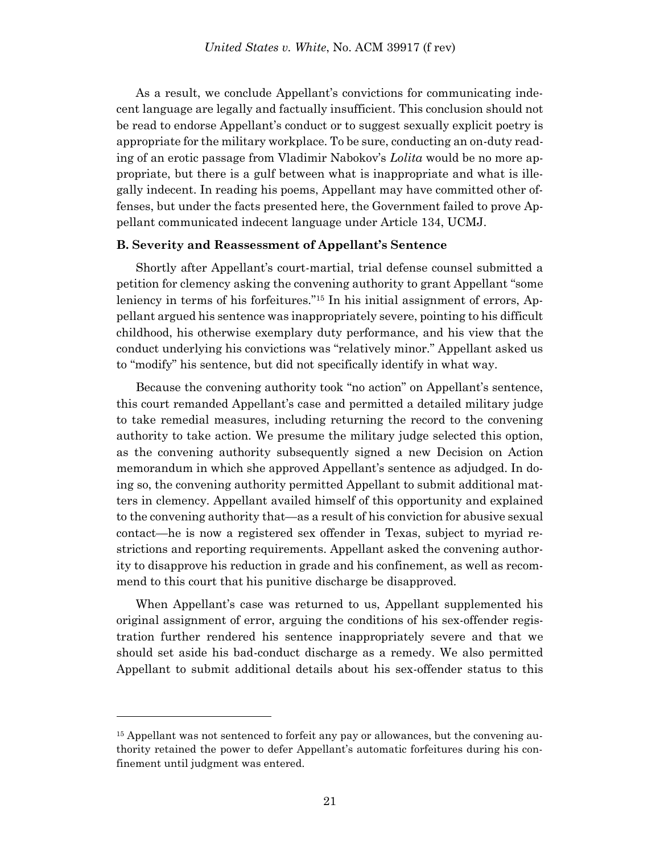As a result, we conclude Appellant's convictions for communicating indecent language are legally and factually insufficient. This conclusion should not be read to endorse Appellant's conduct or to suggest sexually explicit poetry is appropriate for the military workplace. To be sure, conducting an on-duty reading of an erotic passage from Vladimir Nabokov's *Lolita* would be no more appropriate, but there is a gulf between what is inappropriate and what is illegally indecent. In reading his poems, Appellant may have committed other offenses, but under the facts presented here, the Government failed to prove Appellant communicated indecent language under Article 134, UCMJ.

#### **B. Severity and Reassessment of Appellant's Sentence**

Shortly after Appellant's court-martial, trial defense counsel submitted a petition for clemency asking the convening authority to grant Appellant "some leniency in terms of his forfeitures."<sup>15</sup> In his initial assignment of errors, Appellant argued his sentence was inappropriately severe, pointing to his difficult childhood, his otherwise exemplary duty performance, and his view that the conduct underlying his convictions was "relatively minor." Appellant asked us to "modify" his sentence, but did not specifically identify in what way.

Because the convening authority took "no action" on Appellant's sentence, this court remanded Appellant's case and permitted a detailed military judge to take remedial measures, including returning the record to the convening authority to take action. We presume the military judge selected this option, as the convening authority subsequently signed a new Decision on Action memorandum in which she approved Appellant's sentence as adjudged. In doing so, the convening authority permitted Appellant to submit additional matters in clemency. Appellant availed himself of this opportunity and explained to the convening authority that—as a result of his conviction for abusive sexual contact—he is now a registered sex offender in Texas, subject to myriad restrictions and reporting requirements. Appellant asked the convening authority to disapprove his reduction in grade and his confinement, as well as recommend to this court that his punitive discharge be disapproved.

When Appellant's case was returned to us, Appellant supplemented his original assignment of error, arguing the conditions of his sex-offender registration further rendered his sentence inappropriately severe and that we should set aside his bad-conduct discharge as a remedy. We also permitted Appellant to submit additional details about his sex-offender status to this

<sup>&</sup>lt;sup>15</sup> Appellant was not sentenced to forfeit any pay or allowances, but the convening authority retained the power to defer Appellant's automatic forfeitures during his confinement until judgment was entered.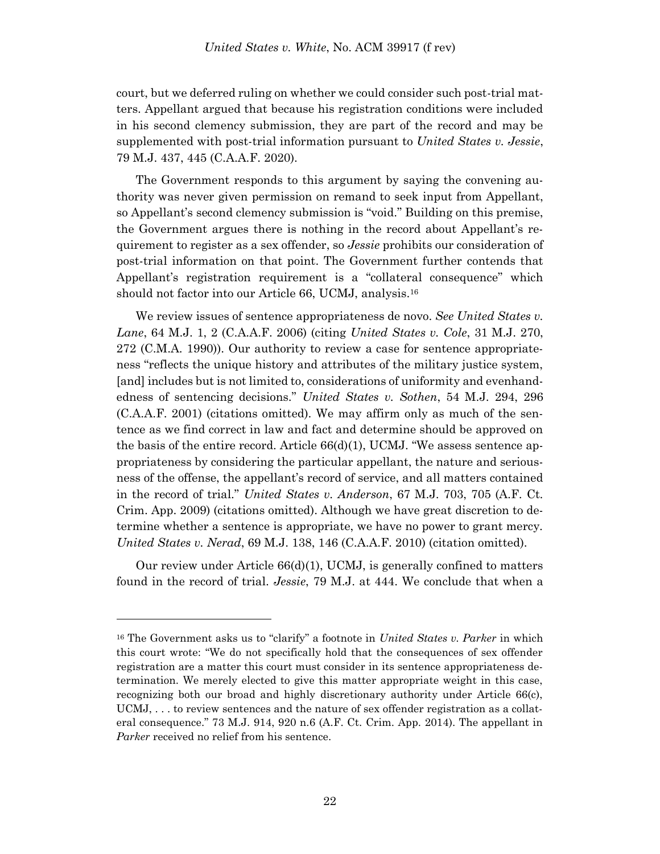court, but we deferred ruling on whether we could consider such post-trial matters. Appellant argued that because his registration conditions were included in his second clemency submission, they are part of the record and may be supplemented with post-trial information pursuant to *United States v. Jessie*, 79 M.J. 437, 445 (C.A.A.F. 2020).

The Government responds to this argument by saying the convening authority was never given permission on remand to seek input from Appellant, so Appellant's second clemency submission is "void." Building on this premise, the Government argues there is nothing in the record about Appellant's requirement to register as a sex offender, so *Jessie* prohibits our consideration of post-trial information on that point. The Government further contends that Appellant's registration requirement is a "collateral consequence" which should not factor into our Article 66, UCMJ, analysis.<sup>16</sup>

We review issues of sentence appropriateness de novo. *See United States v. Lane*, 64 M.J. 1, 2 (C.A.A.F. 2006) (citing *United States v. Cole*, 31 M.J. 270, 272 (C.M.A. 1990)). Our authority to review a case for sentence appropriateness "reflects the unique history and attributes of the military justice system, [and] includes but is not limited to, considerations of uniformity and evenhandedness of sentencing decisions." *United States v. Sothen*, 54 M.J. 294, 296 (C.A.A.F. 2001) (citations omitted). We may affirm only as much of the sentence as we find correct in law and fact and determine should be approved on the basis of the entire record. Article  $66(d)(1)$ , UCMJ. "We assess sentence appropriateness by considering the particular appellant, the nature and seriousness of the offense, the appellant's record of service, and all matters contained in the record of trial." *United States v. Anderson*, 67 M.J. 703, 705 (A.F. Ct. Crim. App. 2009) (citations omitted). Although we have great discretion to determine whether a sentence is appropriate, we have no power to grant mercy. *United States v. Nerad*, 69 M.J. 138, 146 (C.A.A.F. 2010) (citation omitted).

Our review under Article  $66(d)(1)$ , UCMJ, is generally confined to matters found in the record of trial. *Jessie*, 79 M.J. at 444. We conclude that when a

<sup>16</sup> The Government asks us to "clarify" a footnote in *United States v. Parker* in which this court wrote: "We do not specifically hold that the consequences of sex offender registration are a matter this court must consider in its sentence appropriateness determination. We merely elected to give this matter appropriate weight in this case, recognizing both our broad and highly discretionary authority under Article 66(c), UCMJ, . . . to review sentences and the nature of sex offender registration as a collateral consequence." 73 M.J. 914, 920 n.6 (A.F. Ct. Crim. App. 2014). The appellant in *Parker* received no relief from his sentence.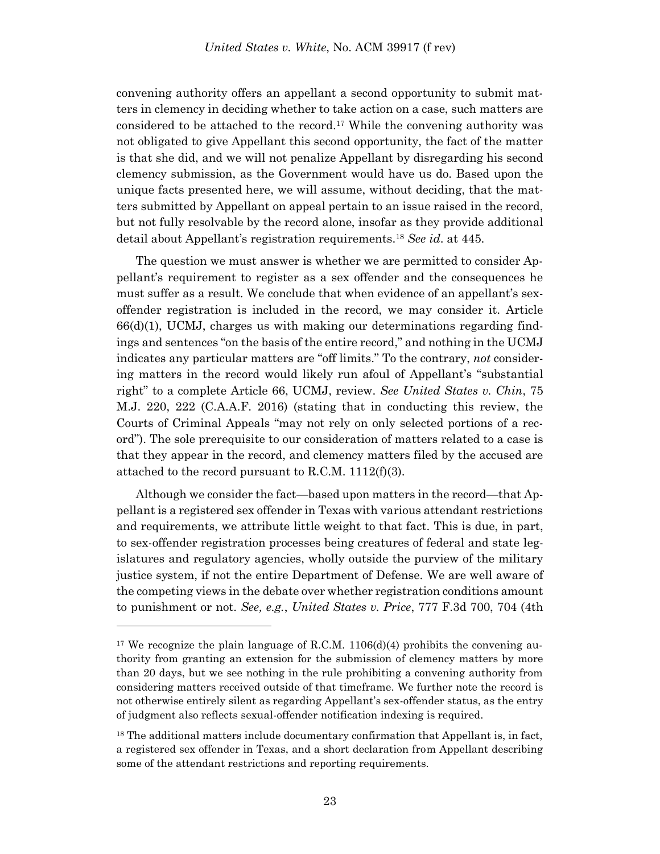convening authority offers an appellant a second opportunity to submit matters in clemency in deciding whether to take action on a case, such matters are considered to be attached to the record. <sup>17</sup> While the convening authority was not obligated to give Appellant this second opportunity, the fact of the matter is that she did, and we will not penalize Appellant by disregarding his second clemency submission, as the Government would have us do. Based upon the unique facts presented here, we will assume, without deciding, that the matters submitted by Appellant on appeal pertain to an issue raised in the record, but not fully resolvable by the record alone, insofar as they provide additional detail about Appellant's registration requirements.<sup>18</sup> *See id*. at 445.

The question we must answer is whether we are permitted to consider Appellant's requirement to register as a sex offender and the consequences he must suffer as a result. We conclude that when evidence of an appellant's sexoffender registration is included in the record, we may consider it. Article  $66(d)(1)$ , UCMJ, charges us with making our determinations regarding findings and sentences "on the basis of the entire record," and nothing in the UCMJ indicates any particular matters are "off limits." To the contrary, *not* considering matters in the record would likely run afoul of Appellant's "substantial right" to a complete Article 66, UCMJ, review. *See United States v. Chin*, 75 M.J. 220, 222 (C.A.A.F. 2016) (stating that in conducting this review, the Courts of Criminal Appeals "may not rely on only selected portions of a record"). The sole prerequisite to our consideration of matters related to a case is that they appear in the record, and clemency matters filed by the accused are attached to the record pursuant to R.C.M. 1112(f)(3).

Although we consider the fact—based upon matters in the record—that Appellant is a registered sex offender in Texas with various attendant restrictions and requirements, we attribute little weight to that fact. This is due, in part, to sex-offender registration processes being creatures of federal and state legislatures and regulatory agencies, wholly outside the purview of the military justice system, if not the entire Department of Defense. We are well aware of the competing views in the debate over whether registration conditions amount to punishment or not. *See, e.g.*, *United States v. Price*, 777 F.3d 700, 704 (4th

<sup>&</sup>lt;sup>17</sup> We recognize the plain language of R.C.M.  $1106(d)(4)$  prohibits the convening authority from granting an extension for the submission of clemency matters by more than 20 days, but we see nothing in the rule prohibiting a convening authority from considering matters received outside of that timeframe. We further note the record is not otherwise entirely silent as regarding Appellant's sex-offender status, as the entry of judgment also reflects sexual-offender notification indexing is required.

<sup>&</sup>lt;sup>18</sup> The additional matters include documentary confirmation that Appellant is, in fact, a registered sex offender in Texas, and a short declaration from Appellant describing some of the attendant restrictions and reporting requirements.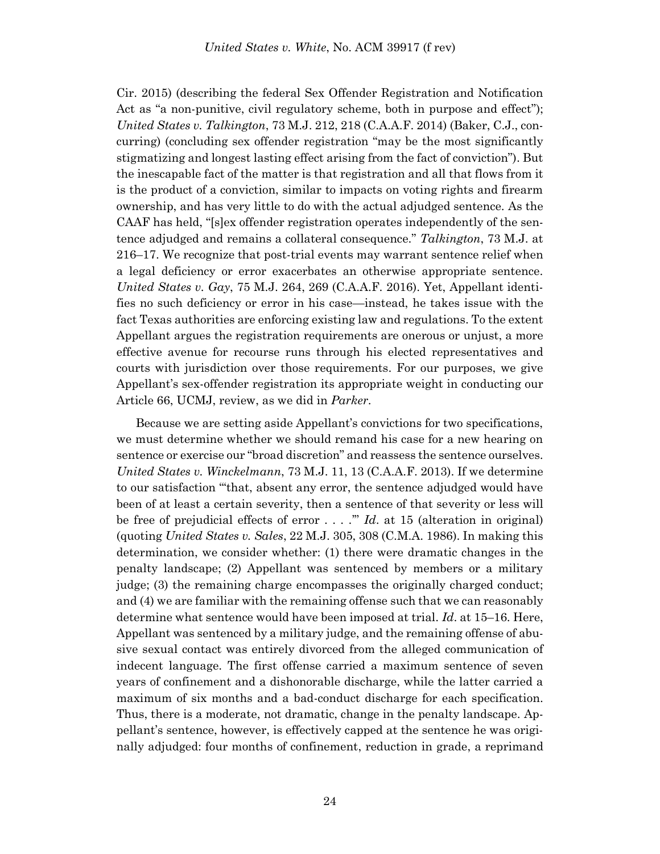Cir. 2015) (describing the federal Sex Offender Registration and Notification Act as "a non-punitive, civil regulatory scheme, both in purpose and effect"); *United States v. Talkington*, 73 M.J. 212, 218 (C.A.A.F. 2014) (Baker, C.J., concurring) (concluding sex offender registration "may be the most significantly stigmatizing and longest lasting effect arising from the fact of conviction"). But the inescapable fact of the matter is that registration and all that flows from it is the product of a conviction, similar to impacts on voting rights and firearm ownership, and has very little to do with the actual adjudged sentence. As the CAAF has held, "[s]ex offender registration operates independently of the sentence adjudged and remains a collateral consequence." *Talkington*, 73 M.J. at 216–17. We recognize that post-trial events may warrant sentence relief when a legal deficiency or error exacerbates an otherwise appropriate sentence. *United States v. Gay*, 75 M.J. 264, 269 (C.A.A.F. 2016). Yet, Appellant identifies no such deficiency or error in his case—instead, he takes issue with the fact Texas authorities are enforcing existing law and regulations. To the extent Appellant argues the registration requirements are onerous or unjust, a more effective avenue for recourse runs through his elected representatives and courts with jurisdiction over those requirements. For our purposes, we give Appellant's sex-offender registration its appropriate weight in conducting our Article 66, UCMJ, review, as we did in *Parker*.

Because we are setting aside Appellant's convictions for two specifications, we must determine whether we should remand his case for a new hearing on sentence or exercise our "broad discretion" and reassess the sentence ourselves. *United States v. Winckelmann*, 73 M.J. 11, 13 (C.A.A.F. 2013). If we determine to our satisfaction "'that, absent any error, the sentence adjudged would have been of at least a certain severity, then a sentence of that severity or less will be free of prejudicial effects of error . . . .'" *Id*. at 15 (alteration in original) (quoting *United States v. Sales*, 22 M.J. 305, 308 (C.M.A. 1986). In making this determination, we consider whether: (1) there were dramatic changes in the penalty landscape; (2) Appellant was sentenced by members or a military judge; (3) the remaining charge encompasses the originally charged conduct; and (4) we are familiar with the remaining offense such that we can reasonably determine what sentence would have been imposed at trial. *Id*. at 15–16. Here, Appellant was sentenced by a military judge, and the remaining offense of abusive sexual contact was entirely divorced from the alleged communication of indecent language. The first offense carried a maximum sentence of seven years of confinement and a dishonorable discharge, while the latter carried a maximum of six months and a bad-conduct discharge for each specification. Thus, there is a moderate, not dramatic, change in the penalty landscape. Appellant's sentence, however, is effectively capped at the sentence he was originally adjudged: four months of confinement, reduction in grade, a reprimand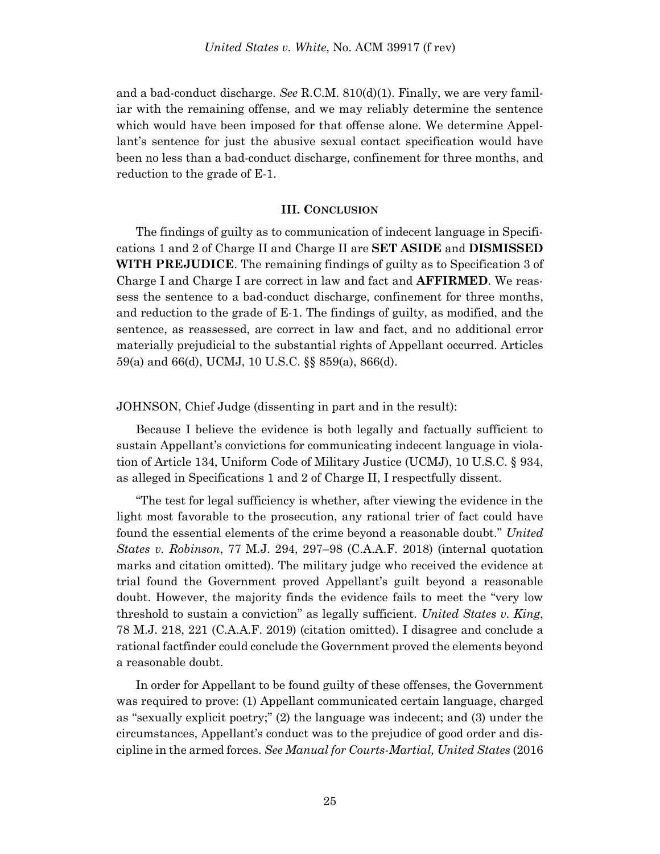and a bad-conduct discharge. *See* R.C.M. 810(d)(1). Finally, we are very familiar with the remaining offense, and we may reliably determine the sentence which would have been imposed for that offense alone. We determine Appellant's sentence for just the abusive sexual contact specification would have been no less than a bad-conduct discharge, confinement for three months, and reduction to the grade of E-1.

#### **III. CONCLUSION**

The findings of guilty as to communication of indecent language in Specifications 1 and 2 of Charge II and Charge II are **SET ASIDE** and **DISMISSED WITH PREJUDICE**. The remaining findings of guilty as to Specification 3 of Charge I and Charge I are correct in law and fact and **AFFIRMED**. We reassess the sentence to a bad-conduct discharge, confinement for three months, and reduction to the grade of E-1. The findings of guilty, as modified, and the sentence, as reassessed, are correct in law and fact, and no additional error materially prejudicial to the substantial rights of Appellant occurred. Articles 59(a) and 66(d), UCMJ, 10 U.S.C. §§ 859(a), 866(d).

#### JOHNSON, Chief Judge (dissenting in part and in the result):

Because I believe the evidence is both legally and factually sufficient to sustain Appellant's convictions for communicating indecent language in violation of Article 134, Uniform Code of Military Justice (UCMJ), 10 U.S.C. § 934, as alleged in Specifications 1 and 2 of Charge II, I respectfully dissent.

"The test for legal sufficiency is whether, after viewing the evidence in the light most favorable to the prosecution, any rational trier of fact could have found the essential elements of the crime beyond a reasonable doubt." *United States v. Robinson*, 77 M.J. 294, 297–98 (C.A.A.F. 2018) (internal quotation marks and citation omitted). The military judge who received the evidence at trial found the Government proved Appellant's guilt beyond a reasonable doubt. However, the majority finds the evidence fails to meet the "very low threshold to sustain a conviction" as legally sufficient. *United States v. King*, 78 M.J. 218, 221 (C.A.A.F. 2019) (citation omitted). I disagree and conclude a rational factfinder could conclude the Government proved the elements beyond a reasonable doubt.

In order for Appellant to be found guilty of these offenses, the Government was required to prove: (1) Appellant communicated certain language, charged as "sexually explicit poetry;" (2) the language was indecent; and (3) under the circumstances, Appellant's conduct was to the prejudice of good order and discipline in the armed forces. *See Manual for Courts-Martial, United States* (2016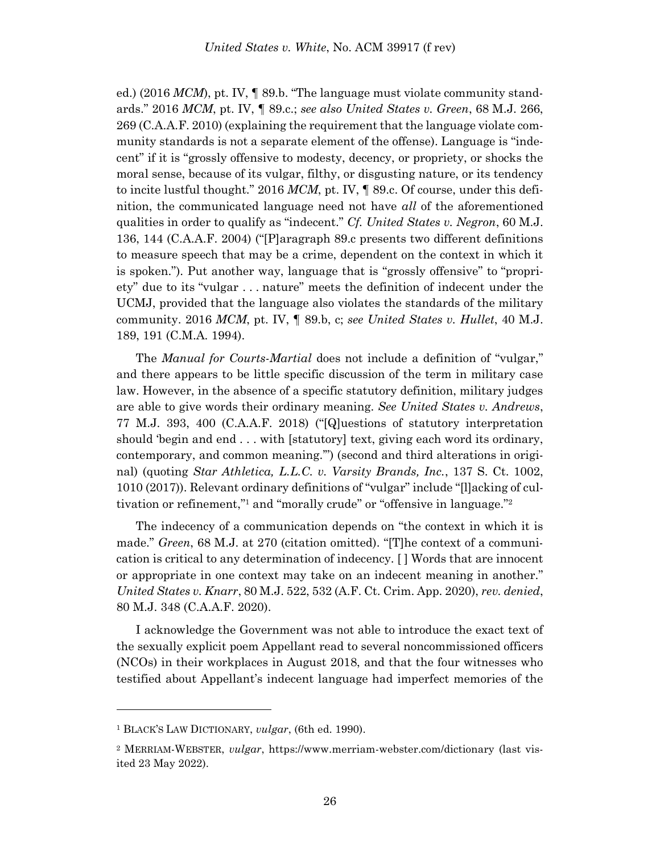ed.) (2016 *MCM*), pt. IV, ¶ 89.b. "The language must violate community standards." 2016 *MCM*, pt. IV, ¶ 89.c.; *see also United States v. Green*, 68 M.J. 266, 269 (C.A.A.F. 2010) (explaining the requirement that the language violate community standards is not a separate element of the offense). Language is "indecent" if it is "grossly offensive to modesty, decency, or propriety, or shocks the moral sense, because of its vulgar, filthy, or disgusting nature, or its tendency to incite lustful thought." 2016 *MCM*, pt. IV, ¶ 89.c. Of course, under this definition, the communicated language need not have *all* of the aforementioned qualities in order to qualify as "indecent." *Cf. United States v. Negron*, 60 M.J. 136, 144 (C.A.A.F. 2004) ("[P]aragraph 89.c presents two different definitions to measure speech that may be a crime, dependent on the context in which it is spoken."). Put another way, language that is "grossly offensive" to "propriety" due to its "vulgar . . . nature" meets the definition of indecent under the UCMJ, provided that the language also violates the standards of the military community. 2016 *MCM*, pt. IV, ¶ 89.b, c; *see United States v. Hullet*, 40 M.J. 189, 191 (C.M.A. 1994).

The *Manual for Courts-Martial* does not include a definition of "vulgar," and there appears to be little specific discussion of the term in military case law. However, in the absence of a specific statutory definition, military judges are able to give words their ordinary meaning. *See United States v. Andrews*, 77 M.J. 393, 400 (C.A.A.F. 2018) ("[Q]uestions of statutory interpretation should 'begin and end . . . with [statutory] text, giving each word its ordinary, contemporary, and common meaning.'") (second and third alterations in original) (quoting *Star Athletica, L.L.C. v. Varsity Brands, Inc.*, 137 S. Ct. 1002, 1010 (2017)). Relevant ordinary definitions of "vulgar" include "[l]acking of cultivation or refinement,"<sup>1</sup> and "morally crude" or "offensive in language."<sup>2</sup>

The indecency of a communication depends on "the context in which it is made." *Green*, 68 M.J. at 270 (citation omitted). "[T]he context of a communication is critical to any determination of indecency. [ ] Words that are innocent or appropriate in one context may take on an indecent meaning in another." *United States v. Knarr*, 80 M.J. 522, 532 (A.F. Ct. Crim. App. 2020), *rev. denied*, 80 M.J. 348 (C.A.A.F. 2020).

I acknowledge the Government was not able to introduce the exact text of the sexually explicit poem Appellant read to several noncommissioned officers (NCOs) in their workplaces in August 2018, and that the four witnesses who testified about Appellant's indecent language had imperfect memories of the

<sup>1</sup> BLACK'S LAW DICTIONARY, *vulgar*, (6th ed. 1990).

<sup>2</sup> MERRIAM-WEBSTER, *vulgar*, https://www.merriam-webster.com/dictionary (last visited 23 May 2022).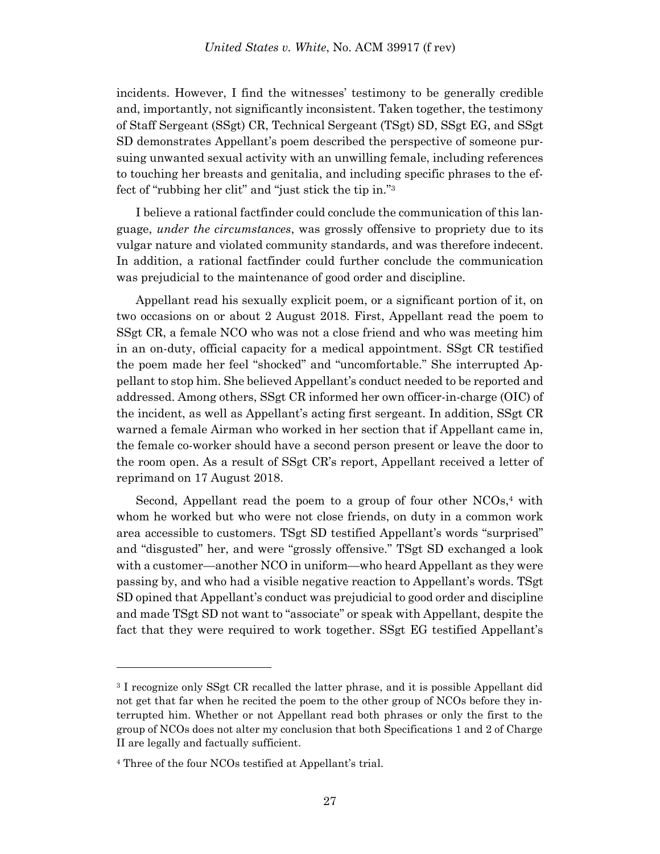incidents. However, I find the witnesses' testimony to be generally credible and, importantly, not significantly inconsistent. Taken together, the testimony of Staff Sergeant (SSgt) CR, Technical Sergeant (TSgt) SD, SSgt EG, and SSgt SD demonstrates Appellant's poem described the perspective of someone pursuing unwanted sexual activity with an unwilling female, including references to touching her breasts and genitalia, and including specific phrases to the effect of "rubbing her clit" and "just stick the tip in."<sup>3</sup>

I believe a rational factfinder could conclude the communication of this language, *under the circumstances*, was grossly offensive to propriety due to its vulgar nature and violated community standards, and was therefore indecent. In addition, a rational factfinder could further conclude the communication was prejudicial to the maintenance of good order and discipline.

Appellant read his sexually explicit poem, or a significant portion of it, on two occasions on or about 2 August 2018. First, Appellant read the poem to SSgt CR, a female NCO who was not a close friend and who was meeting him in an on-duty, official capacity for a medical appointment. SSgt CR testified the poem made her feel "shocked" and "uncomfortable." She interrupted Appellant to stop him. She believed Appellant's conduct needed to be reported and addressed. Among others, SSgt CR informed her own officer-in-charge (OIC) of the incident, as well as Appellant's acting first sergeant. In addition, SSgt CR warned a female Airman who worked in her section that if Appellant came in, the female co-worker should have a second person present or leave the door to the room open. As a result of SSgt CR's report, Appellant received a letter of reprimand on 17 August 2018.

Second, Appellant read the poem to a group of four other  $NCOs<sup>4</sup>$  with whom he worked but who were not close friends, on duty in a common work area accessible to customers. TSgt SD testified Appellant's words "surprised" and "disgusted" her, and were "grossly offensive." TSgt SD exchanged a look with a customer—another NCO in uniform—who heard Appellant as they were passing by, and who had a visible negative reaction to Appellant's words. TSgt SD opined that Appellant's conduct was prejudicial to good order and discipline and made TSgt SD not want to "associate" or speak with Appellant, despite the fact that they were required to work together. SSgt EG testified Appellant's

<sup>3</sup> I recognize only SSgt CR recalled the latter phrase, and it is possible Appellant did not get that far when he recited the poem to the other group of NCOs before they interrupted him. Whether or not Appellant read both phrases or only the first to the group of NCOs does not alter my conclusion that both Specifications 1 and 2 of Charge II are legally and factually sufficient.

<sup>4</sup> Three of the four NCOs testified at Appellant's trial.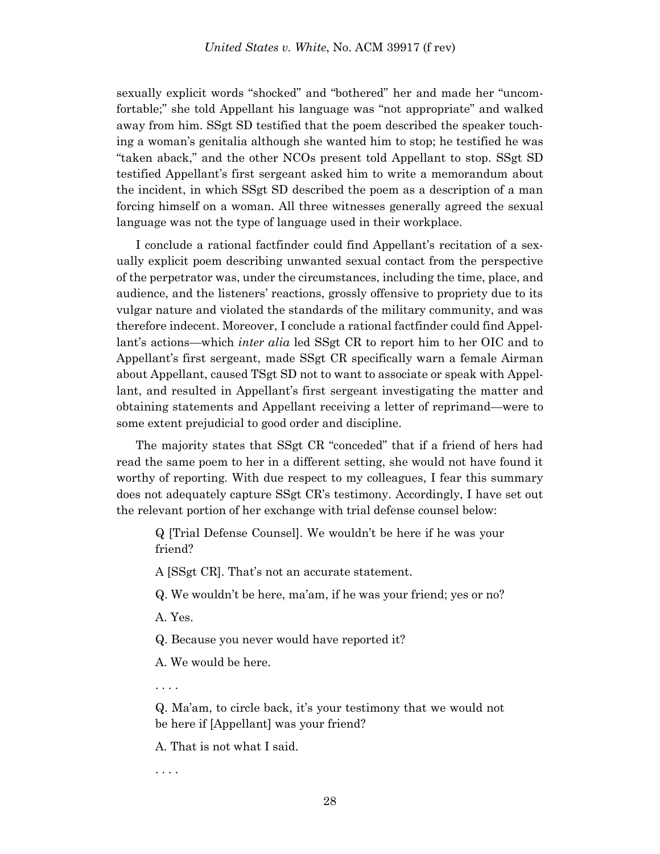sexually explicit words "shocked" and "bothered" her and made her "uncomfortable;" she told Appellant his language was "not appropriate" and walked away from him. SSgt SD testified that the poem described the speaker touching a woman's genitalia although she wanted him to stop; he testified he was "taken aback," and the other NCOs present told Appellant to stop. SSgt SD testified Appellant's first sergeant asked him to write a memorandum about the incident, in which SSgt SD described the poem as a description of a man forcing himself on a woman. All three witnesses generally agreed the sexual language was not the type of language used in their workplace.

I conclude a rational factfinder could find Appellant's recitation of a sexually explicit poem describing unwanted sexual contact from the perspective of the perpetrator was, under the circumstances, including the time, place, and audience, and the listeners' reactions, grossly offensive to propriety due to its vulgar nature and violated the standards of the military community, and was therefore indecent. Moreover, I conclude a rational factfinder could find Appellant's actions—which *inter alia* led SSgt CR to report him to her OIC and to Appellant's first sergeant, made SSgt CR specifically warn a female Airman about Appellant, caused TSgt SD not to want to associate or speak with Appellant, and resulted in Appellant's first sergeant investigating the matter and obtaining statements and Appellant receiving a letter of reprimand—were to some extent prejudicial to good order and discipline.

The majority states that SSgt CR "conceded" that if a friend of hers had read the same poem to her in a different setting, she would not have found it worthy of reporting. With due respect to my colleagues, I fear this summary does not adequately capture SSgt CR's testimony. Accordingly, I have set out the relevant portion of her exchange with trial defense counsel below:

Q [Trial Defense Counsel]. We wouldn't be here if he was your friend?

A [SSgt CR]. That's not an accurate statement.

Q. We wouldn't be here, ma'am, if he was your friend; yes or no?

A. Yes.

Q. Because you never would have reported it?

A. We would be here.

. . . .

Q. Ma'am, to circle back, it's your testimony that we would not be here if [Appellant] was your friend?

A. That is not what I said.

. . . .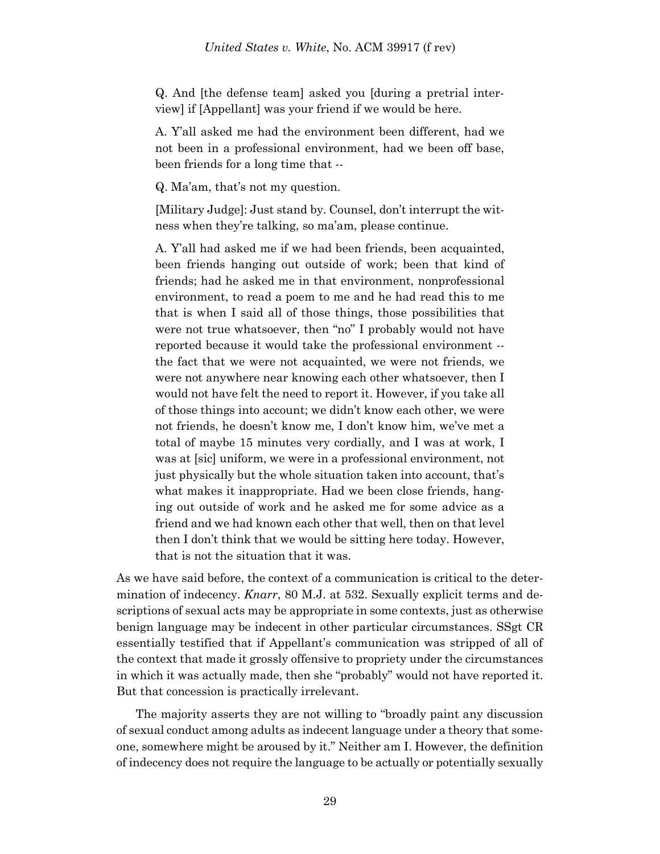#### *United States v. White*, No. ACM 39917 (f rev)

Q. And [the defense team] asked you [during a pretrial interview] if [Appellant] was your friend if we would be here.

A. Y'all asked me had the environment been different, had we not been in a professional environment, had we been off base, been friends for a long time that --

Q. Ma'am, that's not my question.

[Military Judge]: Just stand by. Counsel, don't interrupt the witness when they're talking, so ma'am, please continue.

A. Y'all had asked me if we had been friends, been acquainted, been friends hanging out outside of work; been that kind of friends; had he asked me in that environment, nonprofessional environment, to read a poem to me and he had read this to me that is when I said all of those things, those possibilities that were not true whatsoever, then "no" I probably would not have reported because it would take the professional environment - the fact that we were not acquainted, we were not friends, we were not anywhere near knowing each other whatsoever, then I would not have felt the need to report it. However, if you take all of those things into account; we didn't know each other, we were not friends, he doesn't know me, I don't know him, we've met a total of maybe 15 minutes very cordially, and I was at work, I was at [sic] uniform, we were in a professional environment, not just physically but the whole situation taken into account, that's what makes it inappropriate. Had we been close friends, hanging out outside of work and he asked me for some advice as a friend and we had known each other that well, then on that level then I don't think that we would be sitting here today. However, that is not the situation that it was.

As we have said before, the context of a communication is critical to the determination of indecency. *Knarr*, 80 M.J. at 532. Sexually explicit terms and descriptions of sexual acts may be appropriate in some contexts, just as otherwise benign language may be indecent in other particular circumstances. SSgt CR essentially testified that if Appellant's communication was stripped of all of the context that made it grossly offensive to propriety under the circumstances in which it was actually made, then she "probably" would not have reported it. But that concession is practically irrelevant.

The majority asserts they are not willing to "broadly paint any discussion of sexual conduct among adults as indecent language under a theory that someone, somewhere might be aroused by it." Neither am I. However, the definition of indecency does not require the language to be actually or potentially sexually